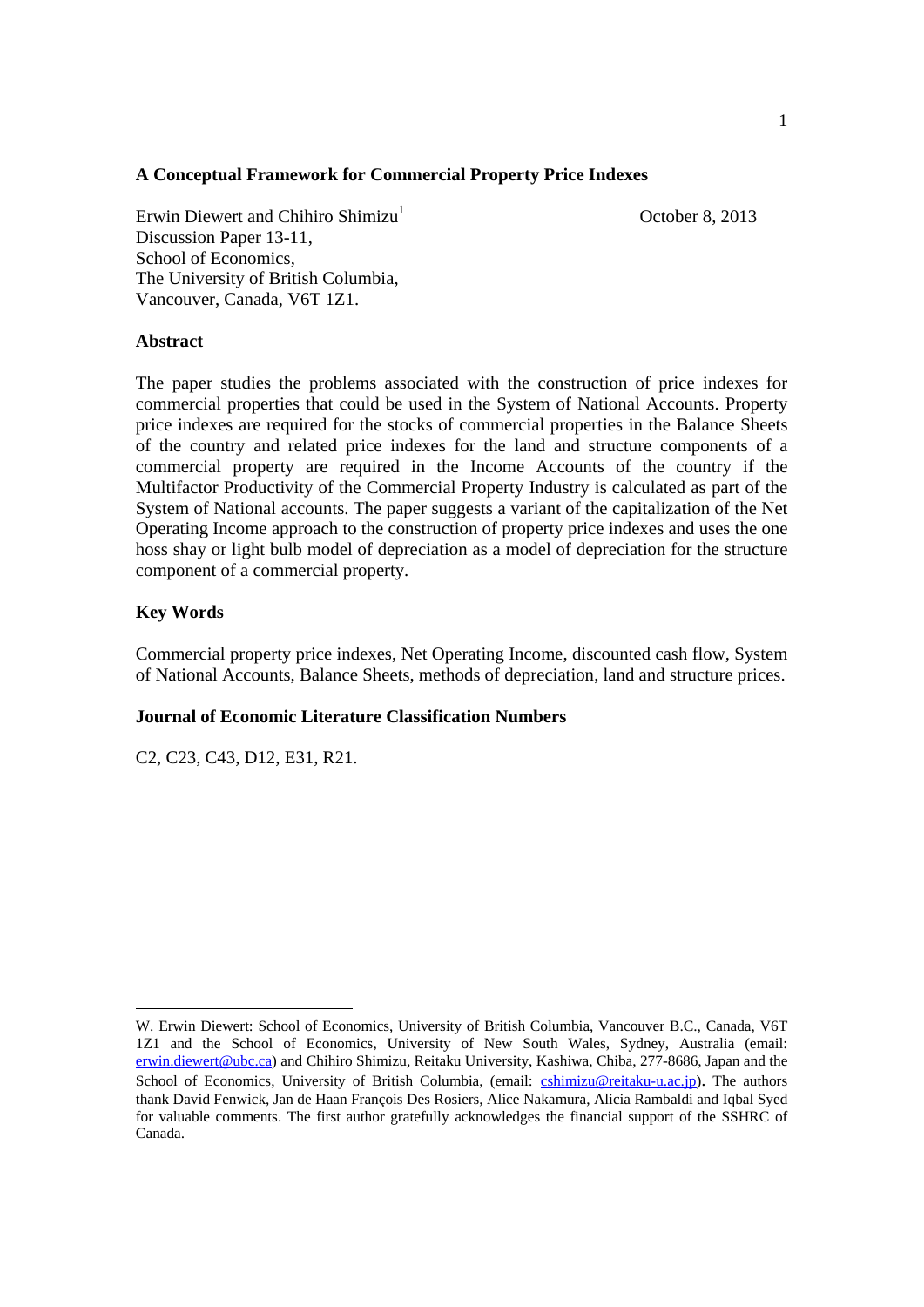# **A Conceptual Framework for Commercial Property Price Indexes**

Erwin Diewert and Chihiro Shimizu<sup>1</sup> Discussion Paper 13-11, School of Economics, The University of British Columbia, Vancouver, Canada, V6T 1Z1.

October 8, 2013

## **Abstract**

The paper studies the problems associated with the construction of price indexes for commercial properties that could be used in the System of National Accounts. Property price indexes are required for the stocks of commercial properties in the Balance Sheets of the country and related price indexes for the land and structure components of a commercial property are required in the Income Accounts of the country if the Multifactor Productivity of the Commercial Property Industry is calculated as part of the System of National accounts. The paper suggests a variant of the capitalization of the Net Operating Income approach to the construction of property price indexes and uses the one hoss shay or light bulb model of depreciation as a model of depreciation for the structure component of a commercial property.

# **Key Words**

 $\overline{a}$ 

Commercial property price indexes, Net Operating Income, discounted cash flow, System of National Accounts, Balance Sheets, methods of depreciation, land and structure prices.

## **Journal of Economic Literature Classification Numbers**

C2, C23, C43, D12, E31, R21.

W. Erwin Diewert: School of Economics, University of British Columbia, Vancouver B.C., Canada, V6T 1Z1 and the School of Economics, University of New South Wales, Sydney, Australia (email: erwin.diewert@ubc.ca) and Chihiro Shimizu, Reitaku University, Kashiwa, Chiba, 277-8686, Japan and the School of Economics, University of British Columbia, (email: cshimizu@reitaku-u.ac.jp). The authors thank David Fenwick, Jan de Haan François Des Rosiers, Alice Nakamura, Alicia Rambaldi and Iqbal Syed for valuable comments. The first author gratefully acknowledges the financial support of the SSHRC of Canada.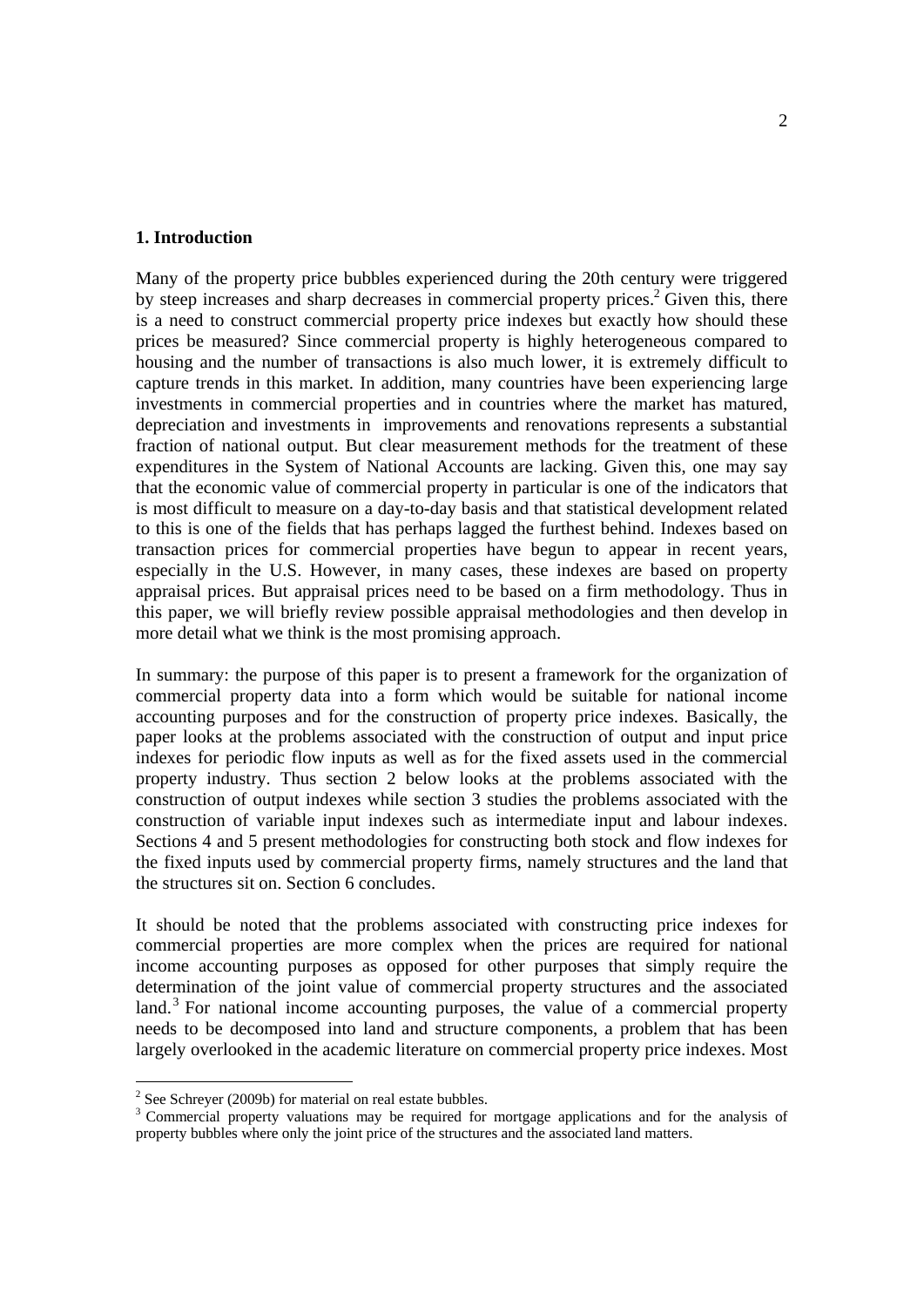## **1. Introduction**

Many of the property price bubbles experienced during the 20th century were triggered by steep increases and sharp decreases in commercial property prices.<sup>2</sup> Given this, there is a need to construct commercial property price indexes but exactly how should these prices be measured? Since commercial property is highly heterogeneous compared to housing and the number of transactions is also much lower, it is extremely difficult to capture trends in this market. In addition, many countries have been experiencing large investments in commercial properties and in countries where the market has matured, depreciation and investments in improvements and renovations represents a substantial fraction of national output. But clear measurement methods for the treatment of these expenditures in the System of National Accounts are lacking. Given this, one may say that the economic value of commercial property in particular is one of the indicators that is most difficult to measure on a day-to-day basis and that statistical development related to this is one of the fields that has perhaps lagged the furthest behind. Indexes based on transaction prices for commercial properties have begun to appear in recent years, especially in the U.S. However, in many cases, these indexes are based on property appraisal prices. But appraisal prices need to be based on a firm methodology. Thus in this paper, we will briefly review possible appraisal methodologies and then develop in more detail what we think is the most promising approach.

In summary: the purpose of this paper is to present a framework for the organization of commercial property data into a form which would be suitable for national income accounting purposes and for the construction of property price indexes. Basically, the paper looks at the problems associated with the construction of output and input price indexes for periodic flow inputs as well as for the fixed assets used in the commercial property industry. Thus section 2 below looks at the problems associated with the construction of output indexes while section 3 studies the problems associated with the construction of variable input indexes such as intermediate input and labour indexes. Sections 4 and 5 present methodologies for constructing both stock and flow indexes for the fixed inputs used by commercial property firms, namely structures and the land that the structures sit on. Section 6 concludes.

It should be noted that the problems associated with constructing price indexes for commercial properties are more complex when the prices are required for national income accounting purposes as opposed for other purposes that simply require the determination of the joint value of commercial property structures and the associated land.<sup>3</sup> For national income accounting purposes, the value of a commercial property needs to be decomposed into land and structure components, a problem that has been largely overlooked in the academic literature on commercial property price indexes. Most

<sup>&</sup>lt;sup>2</sup> See Schreyer (2009b) for material on real estate bubbles.

<sup>&</sup>lt;sup>3</sup> Commercial property valuations may be required for mortgage applications and for the analysis of property bubbles where only the joint price of the structures and the associated land matters.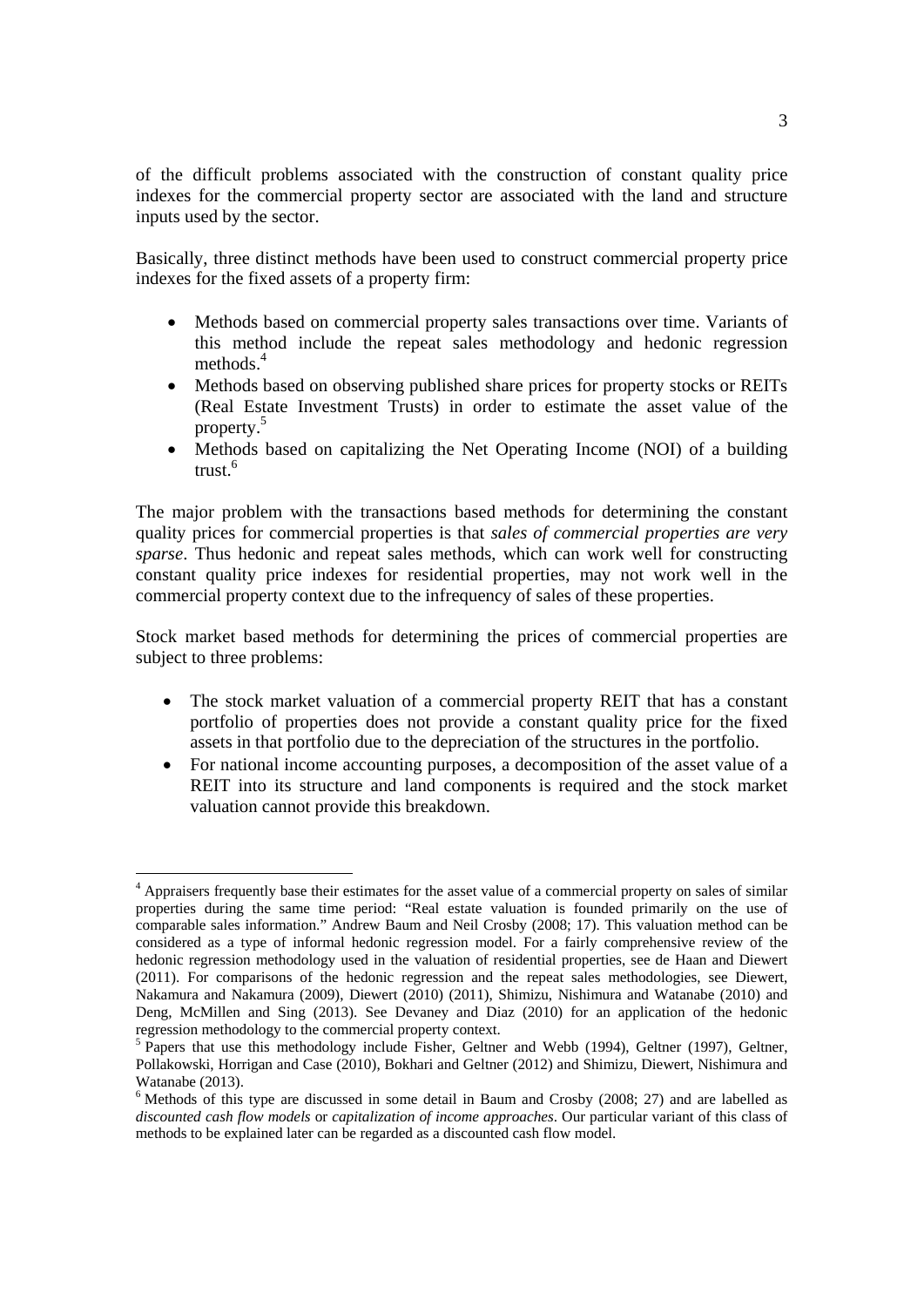of the difficult problems associated with the construction of constant quality price indexes for the commercial property sector are associated with the land and structure inputs used by the sector.

Basically, three distinct methods have been used to construct commercial property price indexes for the fixed assets of a property firm:

- Methods based on commercial property sales transactions over time. Variants of this method include the repeat sales methodology and hedonic regression methods.<sup>4</sup>
- Methods based on observing published share prices for property stocks or REITs (Real Estate Investment Trusts) in order to estimate the asset value of the property.5
- Methods based on capitalizing the Net Operating Income (NOI) of a building trust.<sup>6</sup>

The major problem with the transactions based methods for determining the constant quality prices for commercial properties is that *sales of commercial properties are very sparse*. Thus hedonic and repeat sales methods, which can work well for constructing constant quality price indexes for residential properties, may not work well in the commercial property context due to the infrequency of sales of these properties.

Stock market based methods for determining the prices of commercial properties are subject to three problems:

- The stock market valuation of a commercial property REIT that has a constant portfolio of properties does not provide a constant quality price for the fixed assets in that portfolio due to the depreciation of the structures in the portfolio.
- For national income accounting purposes, a decomposition of the asset value of a REIT into its structure and land components is required and the stock market valuation cannot provide this breakdown.

 <sup>4</sup> Appraisers frequently base their estimates for the asset value of a commercial property on sales of similar properties during the same time period: "Real estate valuation is founded primarily on the use of comparable sales information." Andrew Baum and Neil Crosby (2008; 17). This valuation method can be considered as a type of informal hedonic regression model. For a fairly comprehensive review of the hedonic regression methodology used in the valuation of residential properties, see de Haan and Diewert (2011). For comparisons of the hedonic regression and the repeat sales methodologies, see Diewert, Nakamura and Nakamura (2009), Diewert (2010) (2011), Shimizu, Nishimura and Watanabe (2010) and Deng, McMillen and Sing (2013). See Devaney and Diaz (2010) for an application of the hedonic regression methodology to the commercial property context.

<sup>&</sup>lt;sup>5</sup> Papers that use this methodology include Fisher, Geltner and Webb (1994), Geltner (1997), Geltner, Pollakowski, Horrigan and Case (2010), Bokhari and Geltner (2012) and Shimizu, Diewert, Nishimura and Watanabe (2013).

<sup>&</sup>lt;sup>6</sup> Methods of this type are discussed in some detail in Baum and Crosby (2008; 27) and are labelled as *discounted cash flow models* or *capitalization of income approaches*. Our particular variant of this class of methods to be explained later can be regarded as a discounted cash flow model.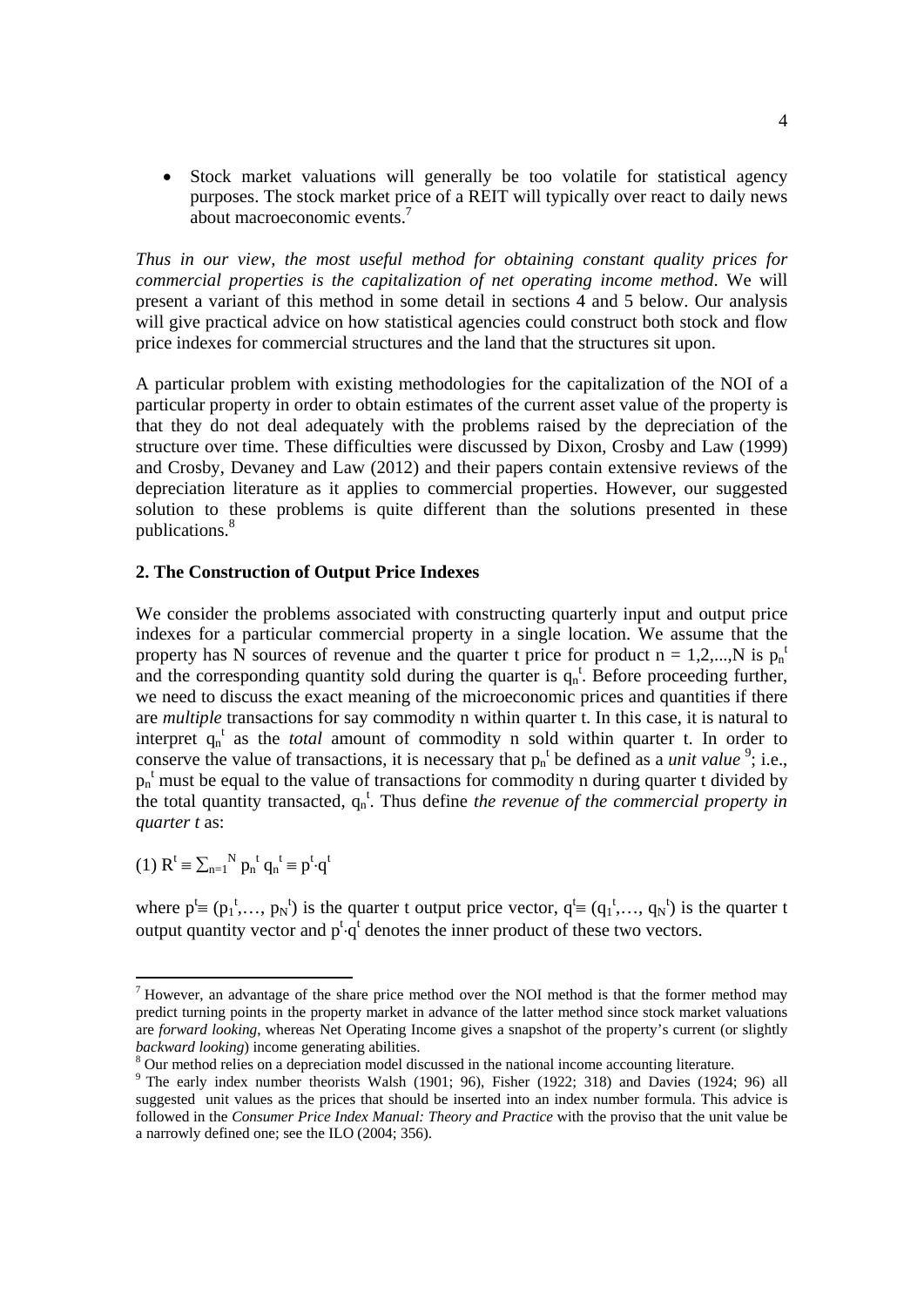Stock market valuations will generally be too volatile for statistical agency purposes. The stock market price of a REIT will typically over react to daily news about macroeconomic events.7

*Thus in our view, the most useful method for obtaining constant quality prices for commercial properties is the capitalization of net operating income method*. We will present a variant of this method in some detail in sections 4 and 5 below. Our analysis will give practical advice on how statistical agencies could construct both stock and flow price indexes for commercial structures and the land that the structures sit upon.

A particular problem with existing methodologies for the capitalization of the NOI of a particular property in order to obtain estimates of the current asset value of the property is that they do not deal adequately with the problems raised by the depreciation of the structure over time. These difficulties were discussed by Dixon, Crosby and Law (1999) and Crosby, Devaney and Law (2012) and their papers contain extensive reviews of the depreciation literature as it applies to commercial properties. However, our suggested solution to these problems is quite different than the solutions presented in these publications.<sup>8</sup>

#### **2. The Construction of Output Price Indexes**

We consider the problems associated with constructing quarterly input and output price indexes for a particular commercial property in a single location. We assume that the property has N sources of revenue and the quarter t price for product  $n = 1, 2, ..., N$  is  $p_n^+$ and the corresponding quantity sold during the quarter is  $q_n$ <sup>t</sup>. Before proceeding further, we need to discuss the exact meaning of the microeconomic prices and quantities if there are *multiple* transactions for say commodity n within quarter t. In this case, it is natural to interpret  $q_n^t$  as the *total* amount of commodity n sold within quarter t. In order to conserve the value of transactions, it is necessary that  $p_n^t$  be defined as a *unit value* <sup>9</sup>; i.e.,  $p_n$ <sup>t</sup> must be equal to the value of transactions for commodity n during quarter t divided by the total quantity transacted,  $q_n^t$ . Thus define *the revenue of the commercial property in quarter t* as:

(1) 
$$
R^t \equiv \sum_{n=1}^N p_n^t q_n^t \equiv p^t \cdot q^t
$$

where  $p^t \equiv (p_1^t, ..., p_N^t)$  is the quarter t output price vector,  $q^t \equiv (q_1^t, ..., q_N^t)$  is the quarter t output quantity vector and  $p^t \cdot q^t$  denotes the inner product of these two vectors.

<sup>&</sup>lt;sup>7</sup> However, an advantage of the share price method over the NOI method is that the former method may predict turning points in the property market in advance of the latter method since stock market valuations are *forward looking*, whereas Net Operating Income gives a snapshot of the property's current (or slightly *backward looking*) income generating abilities.

 $8$  Our method relies on a depreciation model discussed in the national income accounting literature.

<sup>&</sup>lt;sup>9</sup> The early index number theorists Walsh (1901; 96), Fisher (1922; 318) and Davies (1924; 96) all suggested unit values as the prices that should be inserted into an index number formula. This advice is followed in the *Consumer Price Index Manual: Theory and Practice* with the proviso that the unit value be a narrowly defined one; see the ILO (2004; 356).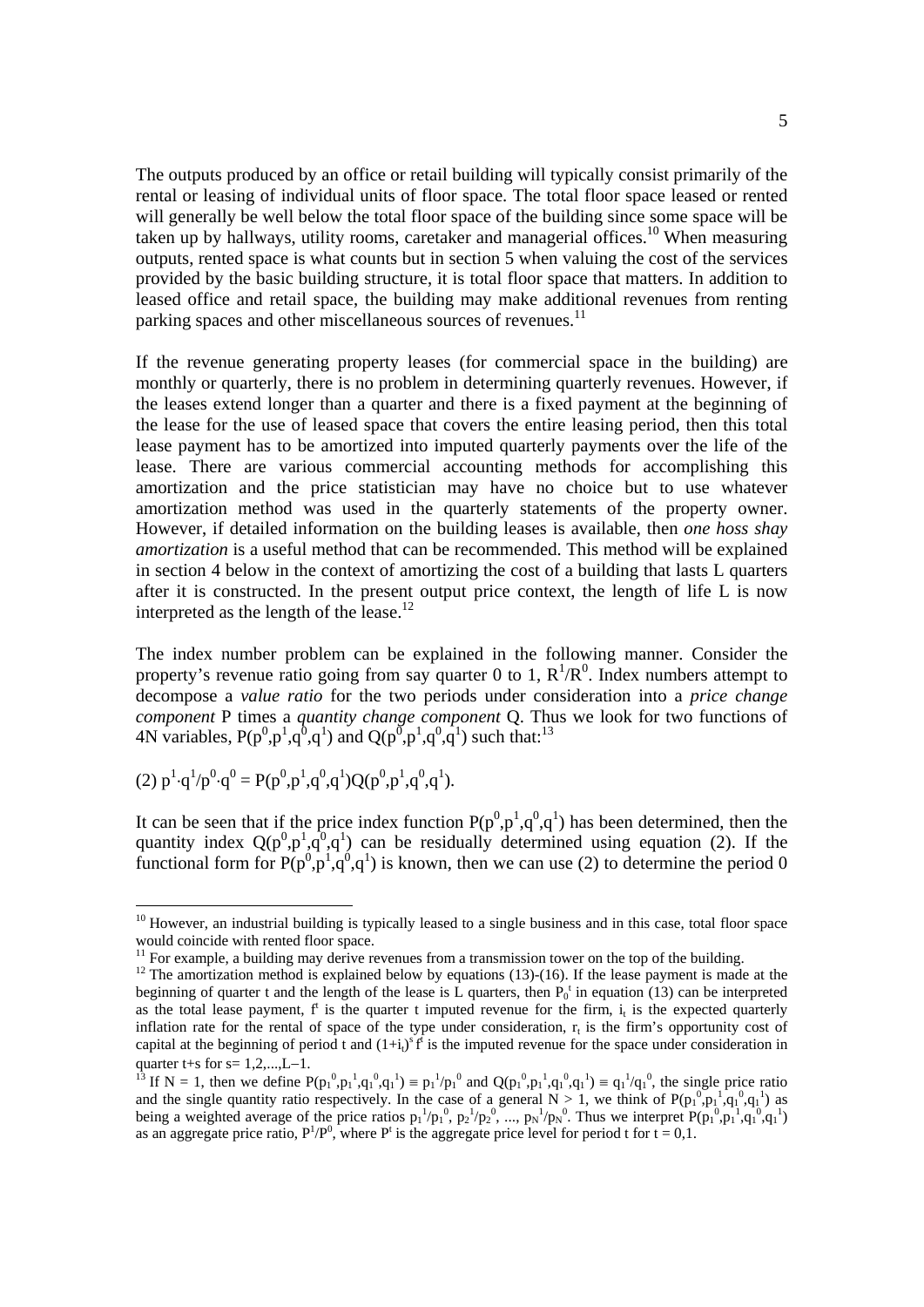The outputs produced by an office or retail building will typically consist primarily of the rental or leasing of individual units of floor space. The total floor space leased or rented will generally be well below the total floor space of the building since some space will be taken up by hallways, utility rooms, caretaker and managerial offices.10 When measuring outputs, rented space is what counts but in section 5 when valuing the cost of the services provided by the basic building structure, it is total floor space that matters. In addition to leased office and retail space, the building may make additional revenues from renting parking spaces and other miscellaneous sources of revenues.<sup>11</sup>

If the revenue generating property leases (for commercial space in the building) are monthly or quarterly, there is no problem in determining quarterly revenues. However, if the leases extend longer than a quarter and there is a fixed payment at the beginning of the lease for the use of leased space that covers the entire leasing period, then this total lease payment has to be amortized into imputed quarterly payments over the life of the lease. There are various commercial accounting methods for accomplishing this amortization and the price statistician may have no choice but to use whatever amortization method was used in the quarterly statements of the property owner. However, if detailed information on the building leases is available, then *one hoss shay amortization* is a useful method that can be recommended. This method will be explained in section 4 below in the context of amortizing the cost of a building that lasts L quarters after it is constructed. In the present output price context, the length of life  $L$  is now interpreted as the length of the lease.<sup>12</sup>

The index number problem can be explained in the following manner. Consider the property's revenue ratio going from say quarter 0 to 1,  $R^1/R^0$ . Index numbers attempt to decompose a *value ratio* for the two periods under consideration into a *price change component* P times a *quantity change component* Q. Thus we look for two functions of 4N variables,  $P(p^0, p^1, q^0, q^1)$  and  $Q(p^0, p^1, q^0, q^1)$  such that.<sup>13</sup>

(2) 
$$
p^1 \cdot q^1/p^0 \cdot q^0 = P(p^0, p^1, q^0, q^1)Q(p^0, p^1, q^0, q^1).
$$

It can be seen that if the price index function  $P(p^0, p^1, q^0, q^1)$  has been determined, then the quantity index  $Q(p^0, p^1, q^0, q^1)$  can be residually determined using equation (2). If the functional form for  $P(p^0, p^1, q^0, q^1)$  is known, then we can use (2) to determine the period 0

<sup>&</sup>lt;sup>10</sup> However, an industrial building is typically leased to a single business and in this case, total floor space would coincide with rented floor space.

 $11$  For example, a building may derive revenues from a transmission tower on the top of the building.

 $12$  The amortization method is explained below by equations (13)-(16). If the lease payment is made at the beginning of quarter t and the length of the lease is L quarters, then  $P_0^t$  in equation (13) can be interpreted as the total lease payment,  $f^t$  is the quarter t imputed revenue for the firm,  $i_t$  is the expected quarterly inflation rate for the rental of space of the type under consideration,  $r<sub>t</sub>$  is the firm's opportunity cost of capital at the beginning of period t and  $(1+i_1)^s f^i$  is the imputed revenue for the space under consideration in

quarter t+s for s= 1,2,...,L-1.<br><sup>13</sup> If N = 1, then we define P(p<sub>1</sub><sup>0</sup>,p<sub>1</sub><sup>1</sup>,q<sub>1</sub><sup>0</sup>,q<sub>1</sub><sup>1</sup>) = p<sub>1</sub><sup>1</sup>/p<sub>1</sub><sup>0</sup> and Q(p<sub>1</sub><sup>0</sup>,p<sub>1</sub><sup>1</sup>,q<sub>1</sub><sup>0</sup>,q<sub>1</sub><sup>1</sup>) = q<sub>1</sub><sup>1</sup>/q<sub>1</sub><sup>0</sup>, the single price ratio and the single quantity ratio respectively. In the case of a general  $N > 1$ , we think of  $P(p_1^0, p_1^1, q_1^0, q_1^1)$  as being a weighted average of the price ratios  $p_1^{-1}/p_1^{0}$ ,  $p_2^{-1}/p_2^{0}$ , ...,  $p_N^{-1}/p_N^{0}$ . Thus we interpret  $P(p_1^{0}, p_1^{0}, q_1^{0}, q_1^{1})$ as an aggregate price ratio,  $P^1/P^0$ , where  $P^t$  is the aggregate price level for period t for  $t = 0,1$ .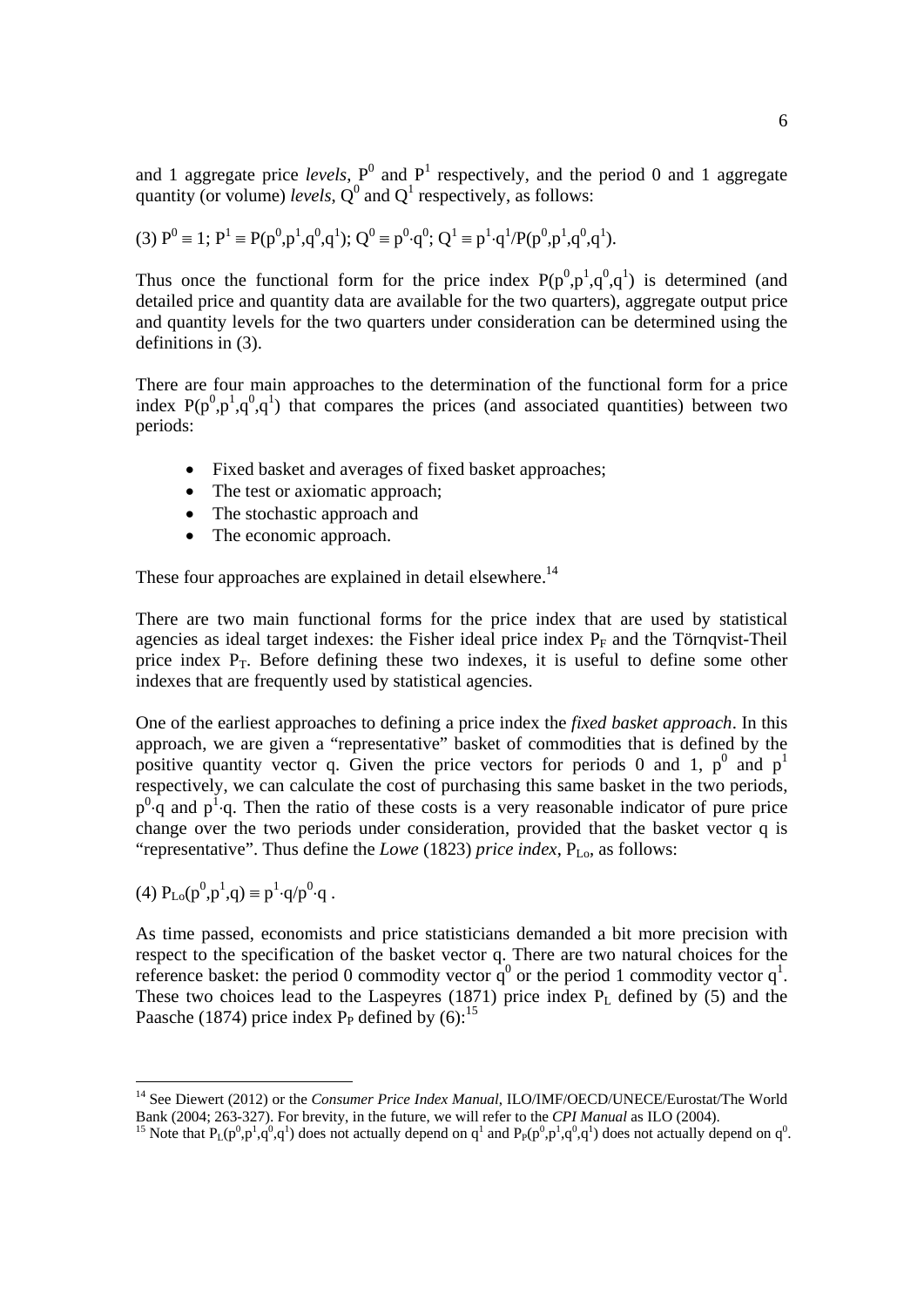and 1 aggregate price *levels*,  $P^0$  and  $P^1$  respectively, and the period 0 and 1 aggregate quantity (or volume) *levels*,  $Q^0$  and  $Q^1$  respectively, as follows:

(3) 
$$
P^0 \equiv 1
$$
;  $P^1 \equiv P(p^0, p^1, q^0, q^1)$ ;  $Q^0 \equiv p^0 \cdot q^0$ ;  $Q^1 \equiv p^1 \cdot q^1 / P(p^0, p^1, q^0, q^1)$ .

Thus once the functional form for the price index  $P(p^0, p^1, q^0, q^1)$  is determined (and detailed price and quantity data are available for the two quarters), aggregate output price and quantity levels for the two quarters under consideration can be determined using the definitions in (3).

There are four main approaches to the determination of the functional form for a price index  $P(p^0, p^1, q^0, q^1)$  that compares the prices (and associated quantities) between two periods:

- Fixed basket and averages of fixed basket approaches;
- The test or axiomatic approach;
- The stochastic approach and
- The economic approach.

These four approaches are explained in detail elsewhere.<sup>14</sup>

There are two main functional forms for the price index that are used by statistical agencies as ideal target indexes: the Fisher ideal price index  $P_F$  and the Törnqvist-Theil price index  $P_T$ . Before defining these two indexes, it is useful to define some other indexes that are frequently used by statistical agencies.

One of the earliest approaches to defining a price index the *fixed basket approach*. In this approach, we are given a "representative" basket of commodities that is defined by the positive quantity vector q. Given the price vectors for periods 0 and 1,  $p^0$  and  $p^1$ respectively, we can calculate the cost of purchasing this same basket in the two periods,  $p^0$  q and  $p^1$  q. Then the ratio of these costs is a very reasonable indicator of pure price change over the two periods under consideration, provided that the basket vector q is "representative". Thus define the *Lowe* (1823) *price index*, P<sub>Lo</sub>, as follows:

(4) 
$$
P_{Lo}(p^0, p^1, q) \equiv p^1 \cdot q/p^0 \cdot q
$$
.

As time passed, economists and price statisticians demanded a bit more precision with respect to the specification of the basket vector q. There are two natural choices for the reference basket: the period 0 commodity vector  $\mathbf{q}^0$  or the period 1 commodity vector  $\mathbf{q}^1$ . These two choices lead to the Laspeyres  $(1871)$  price index P<sub>L</sub> defined by (5) and the Paasche (1874) price index  $P_P$  defined by (6):<sup>15</sup>

<sup>&</sup>lt;sup>14</sup> See Diewert (2012) or the *Consumer Price Index Manual*, ILO/IMF/OECD/UNECE/Eurostat/The World Bank (2004; 263-327). For brevity, in the future, we will refer to the *CPI Manual* as ILO (2004).<br><sup>15</sup> Note that  $P_L(p^0, p^1, q^0, q^1)$  does not actually depend on  $q^1$  and  $P_P(p^0, p^1, q^0, q^1)$  does not actually depend on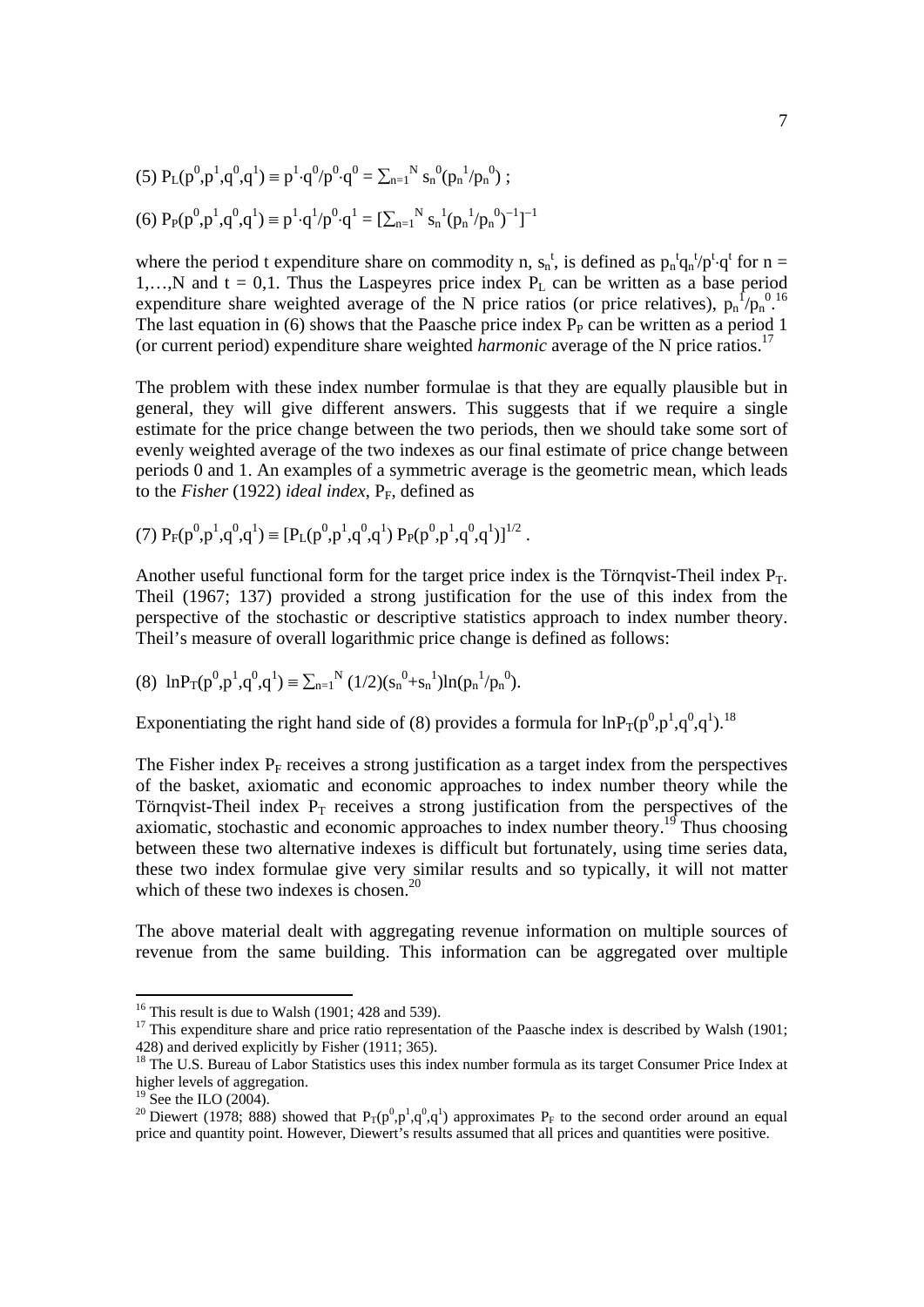(5) 
$$
P_L(p^0, p^1, q^0, q^1) \equiv p^1 \cdot q^0 / p^0 \cdot q^0 = \sum_{n=1}^N s_n^0 (p_n^1 / p_n^0);
$$
  
(6)  $P_P(p^0, p^1, q^0, q^1) \equiv p^1 \cdot q^1 / p^0 \cdot q^1 = [\sum_{n=1}^N s_n^1 (p_n^1 / p_n^0)^{-1}]^{-1}$ 

where the period t expenditure share on commodity n,  $s_n^t$ , is defined as  $p_n^t q_n^t / p^t \cdot q^t$  for  $n =$ 1,…,N and  $t = 0,1$ . Thus the Laspeyres price index  $P_L$  can be written as a base period expenditure share weighted average of the N price ratios (or price relatives),  $p_n^{\int} / p_n^{\{0\}}$ . The last equation in  $(6)$  shows that the Paasche price index  $P<sub>P</sub>$  can be written as a period 1 (or current period) expenditure share weighted *harmonic* average of the N price ratios.17

The problem with these index number formulae is that they are equally plausible but in general, they will give different answers. This suggests that if we require a single estimate for the price change between the two periods, then we should take some sort of evenly weighted average of the two indexes as our final estimate of price change between periods 0 and 1. An examples of a symmetric average is the geometric mean, which leads to the *Fisher* (1922) *ideal index*,  $P_F$ , defined as

(7) 
$$
P_F(p^0, p^1, q^0, q^1) \equiv [P_L(p^0, p^1, q^0, q^1) P_P(p^0, p^1, q^0, q^1)]^{1/2}
$$
.

Another useful functional form for the target price index is the Törnqvist-Theil index  $P_T$ . Theil (1967; 137) provided a strong justification for the use of this index from the perspective of the stochastic or descriptive statistics approach to index number theory. Theil's measure of overall logarithmic price change is defined as follows:

(8) 
$$
\ln P_T(p^0, p^1, q^0, q^1) \equiv \sum_{n=1}^N (1/2)(s_n^0 + s_n^1) \ln(p_n^1/p_n^0)
$$
.

Exponentiating the right hand side of (8) provides a formula for  $ln P_T(p^0, p^1, q^0, q^1)$ .<sup>18</sup>

The Fisher index  $P_F$  receives a strong justification as a target index from the perspectives of the basket, axiomatic and economic approaches to index number theory while the Törnqvist-Theil index  $P_T$  receives a strong justification from the perspectives of the axiomatic, stochastic and economic approaches to index number theory.<sup>19</sup> Thus choosing between these two alternative indexes is difficult but fortunately, using time series data, these two index formulae give very similar results and so typically, it will not matter which of these two indexes is chosen.<sup>20</sup>

The above material dealt with aggregating revenue information on multiple sources of revenue from the same building. This information can be aggregated over multiple

 $16$  This result is due to Walsh (1901; 428 and 539).

<sup>&</sup>lt;sup>17</sup> This expenditure share and price ratio representation of the Paasche index is described by Walsh (1901; 428) and derived explicitly by Fisher (1911; 365).

<sup>&</sup>lt;sup>18</sup> The U.S. Bureau of Labor Statistics uses this index number formula as its target Consumer Price Index at higher levels of aggregation.

 $19$  See the ILO (2004).

<sup>&</sup>lt;sup>20</sup> Diewert (1978; 888) showed that  $P_T(p^0, p^1, q^0, q^1)$  approximates  $P_F$  to the second order around an equal price and quantity point. However, Diewert's results assumed that all prices and quantities were positive.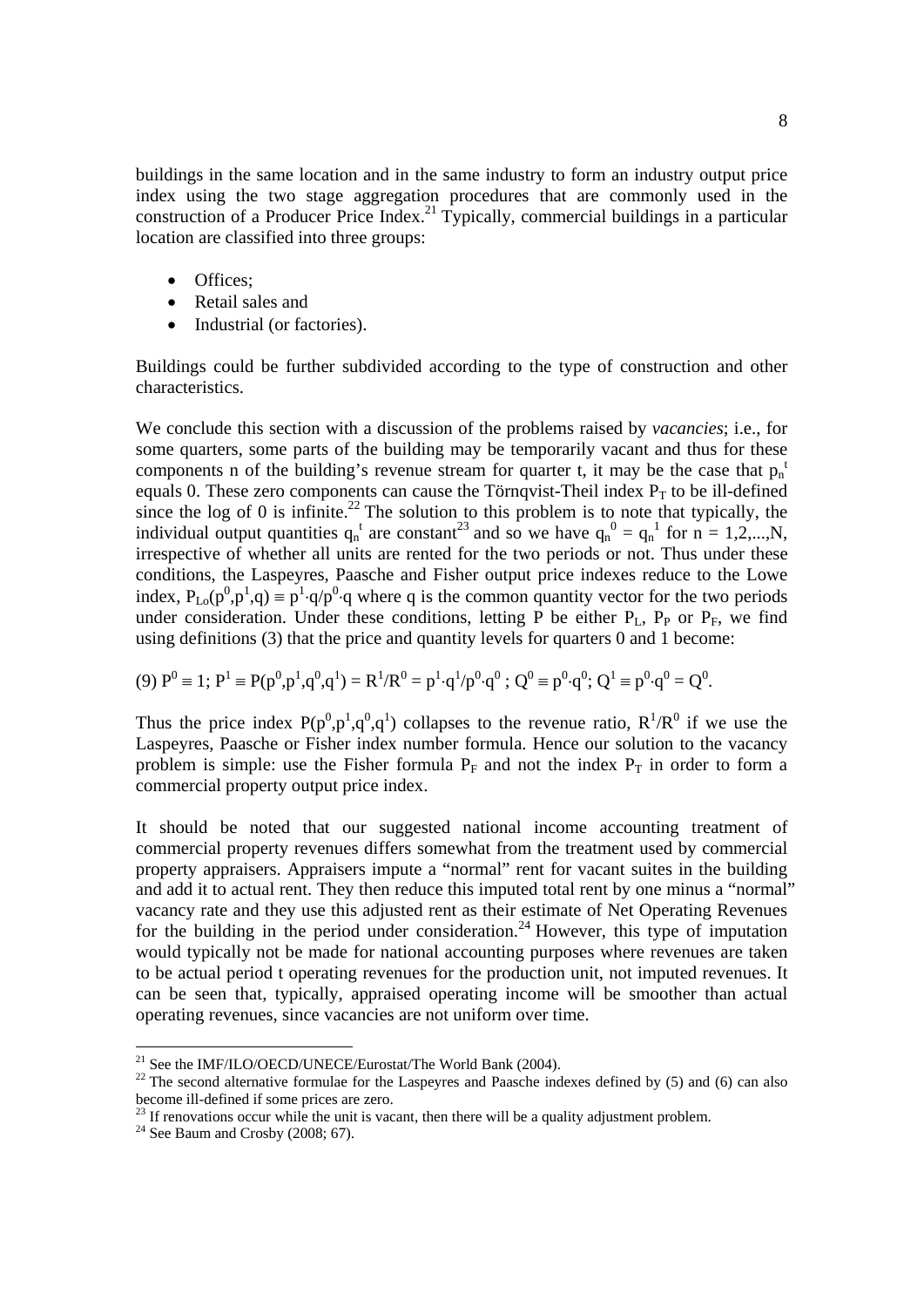buildings in the same location and in the same industry to form an industry output price index using the two stage aggregation procedures that are commonly used in the construction of a Producer Price Index.<sup>21</sup> Typically, commercial buildings in a particular location are classified into three groups:

- Offices;
- Retail sales and
- Industrial (or factories).

Buildings could be further subdivided according to the type of construction and other characteristics.

We conclude this section with a discussion of the problems raised by *vacancies*; i.e., for some quarters, some parts of the building may be temporarily vacant and thus for these components n of the building's revenue stream for quarter t, it may be the case that  $p_n$ <sup>t</sup> equals 0. These zero components can cause the Törnqvist-Theil index  $P_T$  to be ill-defined since the log of 0 is infinite.<sup>22</sup> The solution to this problem is to note that typically, the individual output quantities  $q_n^t$  are constant<sup>23</sup> and so we have  $q_n^0 = q_n^1$  for  $n = 1, 2, ..., N$ , irrespective of whether all units are rented for the two periods or not. Thus under these conditions, the Laspeyres, Paasche and Fisher output price indexes reduce to the Lowe index,  $P_{Lo}(p^0, p^1, q) \equiv p^1 \cdot q/p^0 \cdot q$  where q is the common quantity vector for the two periods under consideration. Under these conditions, letting  $\overline{P}$  be either  $P_L$ ,  $P_P$  or  $P_F$ , we find using definitions (3) that the price and quantity levels for quarters 0 and 1 become:

(9) 
$$
P^0 \equiv 1
$$
;  $P^1 \equiv P(p^0, p^1, q^0, q^1) = R^1/R^0 = p^1 \cdot q^1/p^0 \cdot q^0$ ;  $Q^0 \equiv p^0 \cdot q^0$ ;  $Q^1 \equiv p^0 \cdot q^0 = Q^0$ .

Thus the price index  $P(p^0, p^1, q^0, q^1)$  collapses to the revenue ratio,  $R^1/R^0$  if we use the Laspeyres, Paasche or Fisher index number formula. Hence our solution to the vacancy problem is simple: use the Fisher formula  $P_F$  and not the index  $P_T$  in order to form a commercial property output price index.

It should be noted that our suggested national income accounting treatment of commercial property revenues differs somewhat from the treatment used by commercial property appraisers. Appraisers impute a "normal" rent for vacant suites in the building and add it to actual rent. They then reduce this imputed total rent by one minus a "normal" vacancy rate and they use this adjusted rent as their estimate of Net Operating Revenues for the building in the period under consideration.<sup>24</sup> However, this type of imputation would typically not be made for national accounting purposes where revenues are taken to be actual period t operating revenues for the production unit, not imputed revenues. It can be seen that, typically, appraised operating income will be smoother than actual operating revenues, since vacancies are not uniform over time.

 $^{21}$  See the IMF/ILO/OECD/UNECE/Eurostat/The World Bank (2004).

 $22$ <sup>22</sup> The second alternative formulae for the Laspeyres and Paasche indexes defined by (5) and (6) can also become ill-defined if some prices are zero.

 $23$  If renovations occur while the unit is vacant, then there will be a quality adjustment problem.

 $24$  See Baum and Crosby (2008; 67).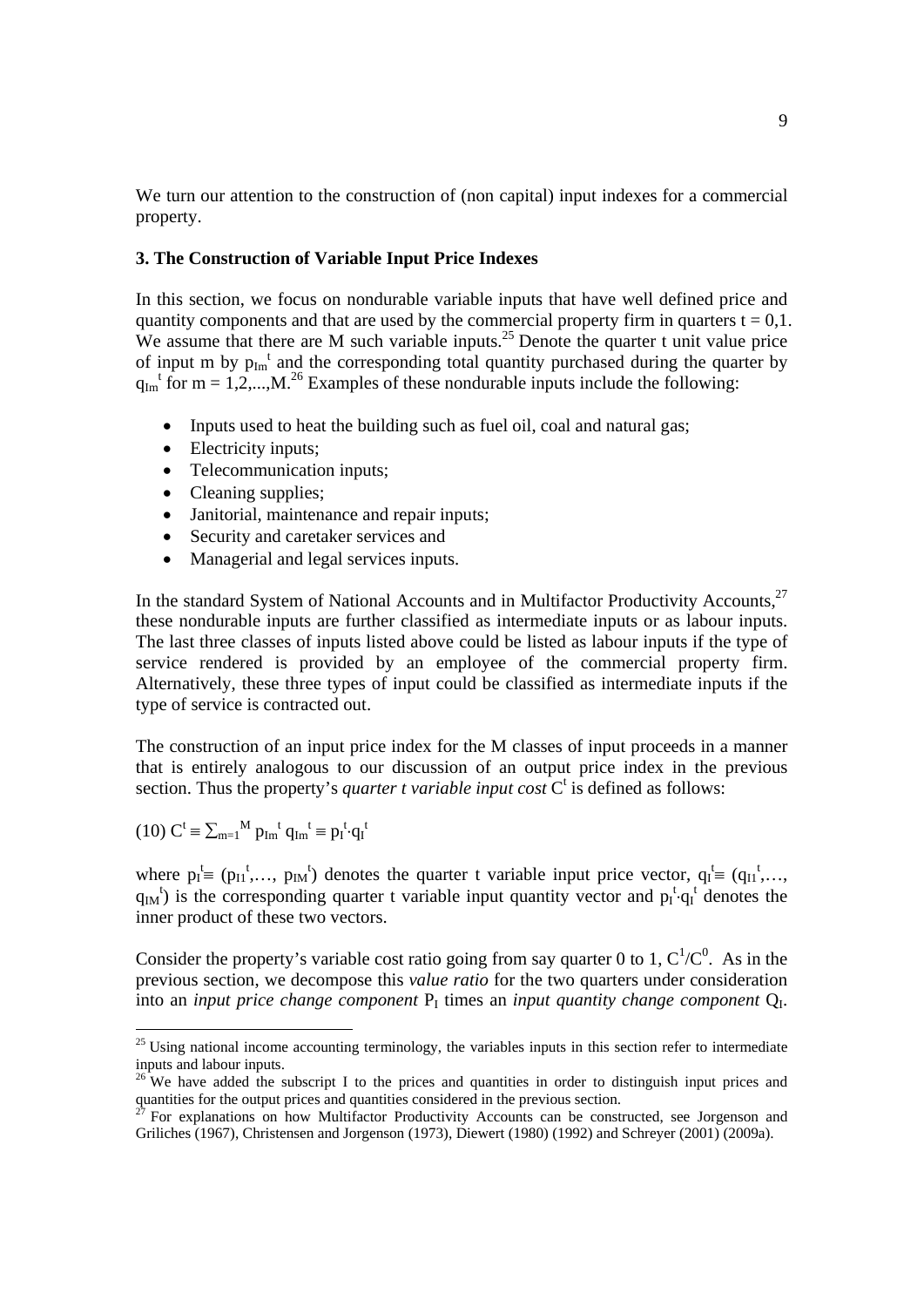We turn our attention to the construction of (non capital) input indexes for a commercial property.

## **3. The Construction of Variable Input Price Indexes**

In this section, we focus on nondurable variable inputs that have well defined price and quantity components and that are used by the commercial property firm in quarters  $t = 0.1$ . We assume that there are M such variable inputs.<sup>25</sup> Denote the quarter t unit value price of input m by  $p_{Im}^t$  and the corresponding total quantity purchased during the quarter by  $q_{Im}^{t}$  for  $m = 1, 2, ..., M$ .<sup>26</sup> Examples of these nondurable inputs include the following:

- Inputs used to heat the building such as fuel oil, coal and natural gas;
- Electricity inputs:
- Telecommunication inputs;
- Cleaning supplies;
- Janitorial, maintenance and repair inputs;
- Security and caretaker services and
- Managerial and legal services inputs.

In the standard System of National Accounts and in Multifactor Productivity Accounts,<sup>27</sup> these nondurable inputs are further classified as intermediate inputs or as labour inputs. The last three classes of inputs listed above could be listed as labour inputs if the type of service rendered is provided by an employee of the commercial property firm. Alternatively, these three types of input could be classified as intermediate inputs if the type of service is contracted out.

The construction of an input price index for the M classes of input proceeds in a manner that is entirely analogous to our discussion of an output price index in the previous section. Thus the property's *quarter t variable input cost*  $C<sup>t</sup>$  is defined as follows:

$$
(10) Ct \equiv \sum_{m=1}^{M} p_{Im}^{t} q_{Im}^{t} \equiv p_{I}^{t} \cdot q_{I}^{t}
$$

where  $p_1^t \equiv (p_{11}^t, \ldots, p_{1M}^t)$  denotes the quarter t variable input price vector,  $q_1^t \equiv (q_{11}^t, \ldots, q_{M}^t)$  $q_{IM}$ <sup>t</sup>) is the corresponding quarter t variable input quantity vector and  $p_I^t \cdot q_I^t$  denotes the inner product of these two vectors.

Consider the property's variable cost ratio going from say quarter 0 to 1,  $C^1/C^0$ . As in the previous section, we decompose this *value ratio* for the two quarters under consideration into an *input price change component*  $P<sub>I</sub>$  times an *input quantity change component*  $Q<sub>I</sub>$ .

 $25$  Using national income accounting terminology, the variables inputs in this section refer to intermediate inputs and labour inputs.

 $26$  We have added the subscript I to the prices and quantities in order to distinguish input prices and quantities for the output prices and quantities considered in the previous section.

<sup>27</sup> For explanations on how Multifactor Productivity Accounts can be constructed, see Jorgenson and Griliches (1967), Christensen and Jorgenson (1973), Diewert (1980) (1992) and Schreyer (2001) (2009a).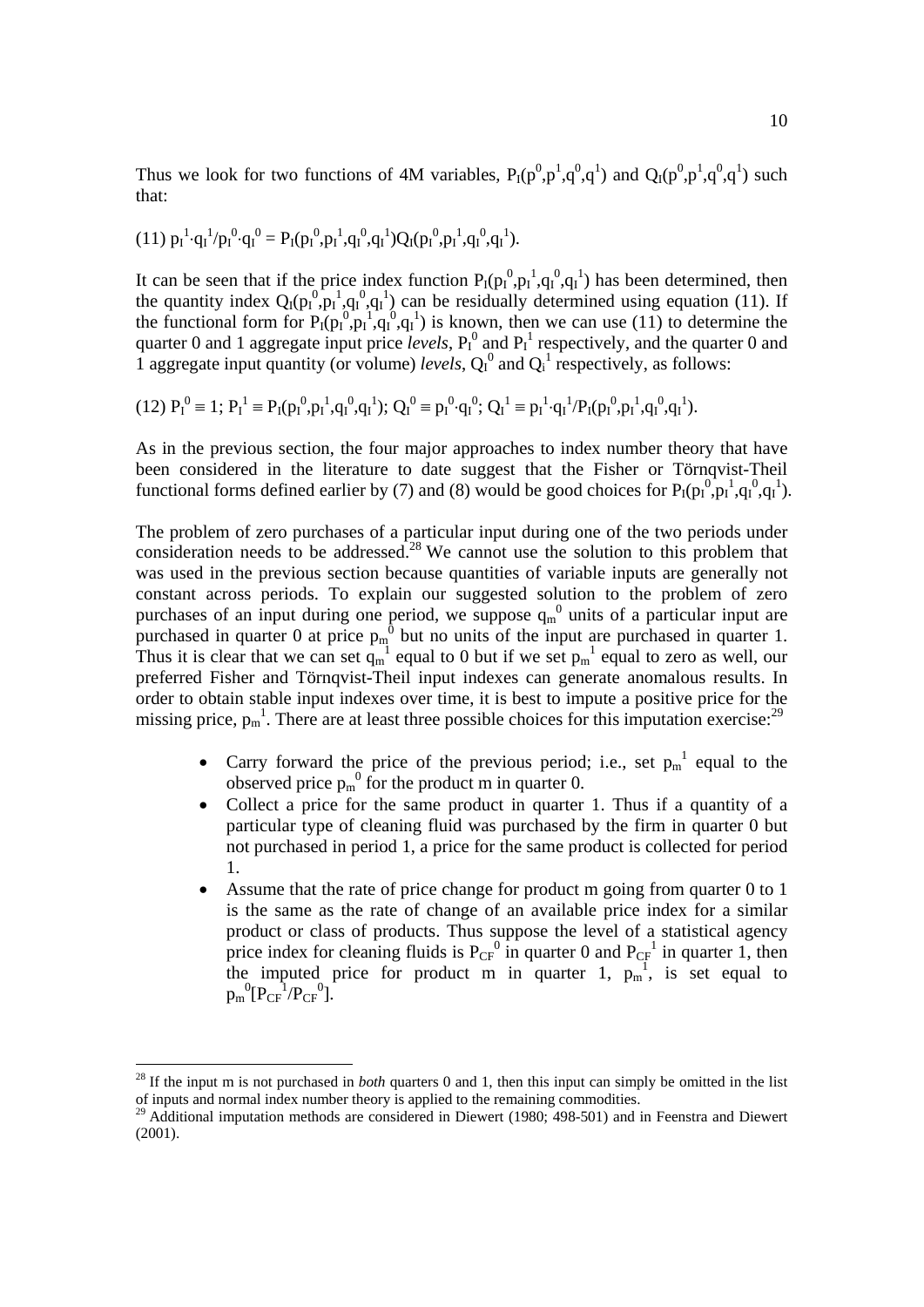Thus we look for two functions of 4M variables,  $P_I(p^0, p^1, q^0, q^1)$  and  $Q_I(p^0, p^1, q^0, q^1)$  such that:

$$
(11)\ p_{I}{}^{1}\cdot q_{I}{}^{1}/p_{I}{}^{0}\cdot q_{I}{}^{0}=P_{I}(p_{I}{}^{0},\!p_{I}{}^{1},\!q_{I}{}^{0},\!q_{I}{}^{1})Q_{I}(p_{I}{}^{0},\!p_{I}{}^{1},\!q_{I}{}^{0},\!q_{I}{}^{1}).
$$

It can be seen that if the price index function  $P_I(p_I^0, p_I^1, q_I^0, q_I^1)$  has been determined, then the quantity index  $Q_I(p_I^0, p_I^1, q_I^0, q_I^1)$  can be residually determined using equation (11). If the functional form for  $P_I(p_I^0, p_I^1, q_I^0, q_I^1)$  is known, then we can use (11) to determine the quarter 0 and 1 aggregate input price *levels*,  $P_I^0$  and  $P_I^1$  respectively, and the quarter 0 and 1 aggregate input quantity (or volume) *levels*,  $Q_I^0$  and  $Q_I^1$  respectively, as follows:

$$
(12)\ P_I^0\equiv 1\,;\ P_I^1\equiv P_I(p_I^0,p_I^1,q_I^0,q_I^1);\ Q_I^0\equiv p_I^0\cdot q_I^0;\ Q_I^1\equiv p_I^1\cdot q_I^1/P_I(p_I^0,p_I^1,q_I^0,q_I^1).
$$

As in the previous section, the four major approaches to index number theory that have been considered in the literature to date suggest that the Fisher or Törnqvist-Theil functional forms defined earlier by (7) and (8) would be good choices for  $P_I(p_I^0, p_I^1, q_I^0, q_I^1)$ .

The problem of zero purchases of a particular input during one of the two periods under consideration needs to be addressed.<sup>28</sup> We cannot use the solution to this problem that was used in the previous section because quantities of variable inputs are generally not constant across periods. To explain our suggested solution to the problem of zero purchases of an input during one period, we suppose  $q_m^0$  units of a particular input are purchased in quarter 0 at price  $p_m^0$  but no units of the input are purchased in quarter 1. Thus it is clear that we can set  $q_m^{-1}$  equal to 0 but if we set  $p_m^{-1}$  equal to zero as well, our preferred Fisher and Törnqvist-Theil input indexes can generate anomalous results. In order to obtain stable input indexes over time, it is best to impute a positive price for the missing price,  $p_m$ <sup>1</sup>. There are at least three possible choices for this imputation exercise:<sup>29</sup>

- Carry forward the price of the previous period; i.e., set  $p_m^{-1}$  equal to the observed price  $p_m^0$  for the product m in quarter 0.
- Collect a price for the same product in quarter 1. Thus if a quantity of a particular type of cleaning fluid was purchased by the firm in quarter 0 but not purchased in period 1, a price for the same product is collected for period 1.
- Assume that the rate of price change for product m going from quarter 0 to 1 is the same as the rate of change of an available price index for a similar product or class of products. Thus suppose the level of a statistical agency price index for cleaning fluids is  $P_{CF}^0$  in quarter 0 and  $P_{CF}^1$  in quarter 1, then the imputed price for product m in quarter 1,  $p_m^1$ , is set equal to  $p_m^0[P_{CF}^{-1}/P_{CF}^{-0}].$

<sup>&</sup>lt;sup>28</sup> If the input m is not purchased in *both* quarters 0 and 1, then this input can simply be omitted in the list of inputs and normal index number theory is applied to the remaining commodities.

<sup>&</sup>lt;sup>29</sup> Additional imputation methods are considered in Diewert (1980; 498-501) and in Feenstra and Diewert (2001).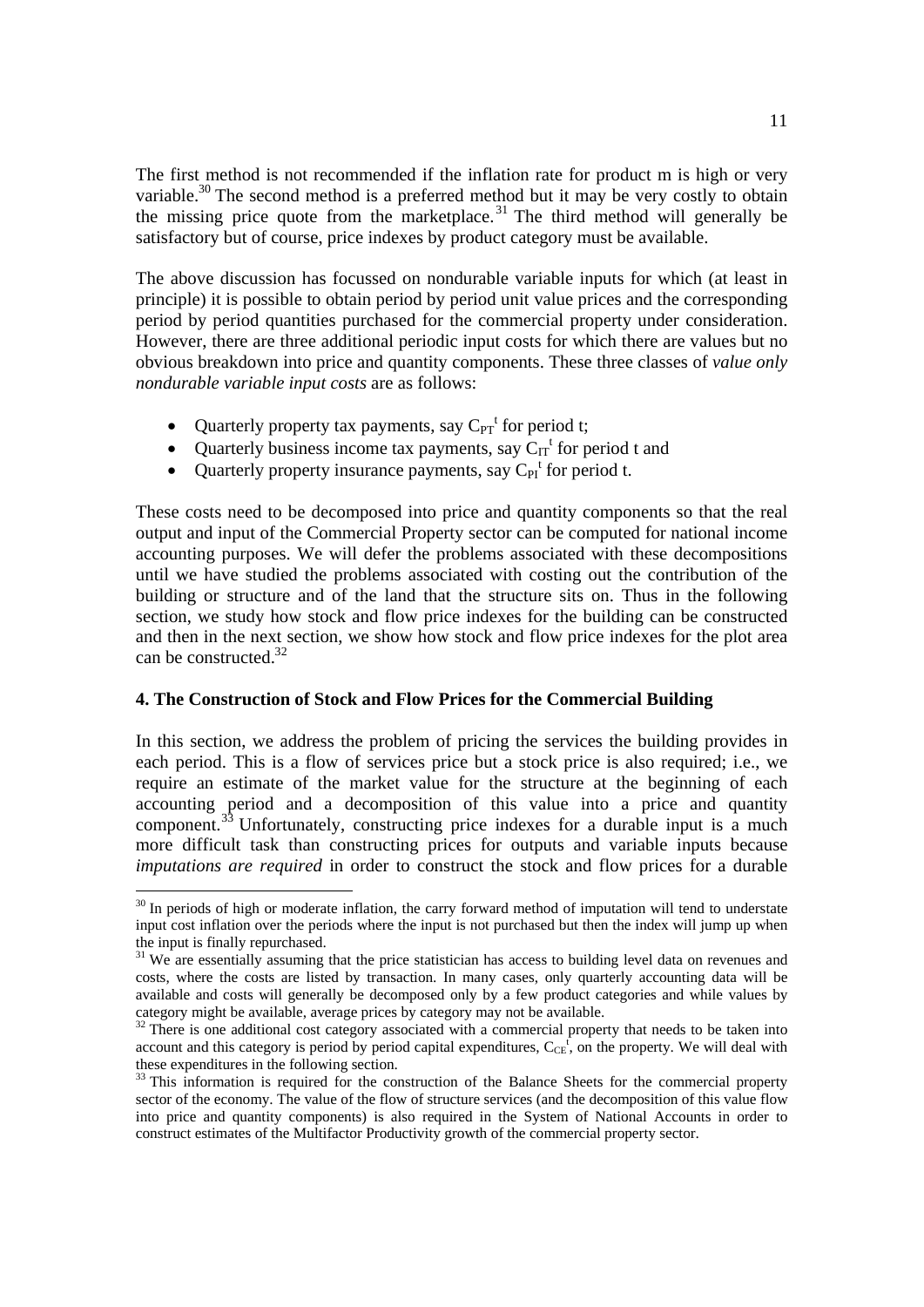The first method is not recommended if the inflation rate for product m is high or very variable.<sup>30</sup> The second method is a preferred method but it may be very costly to obtain the missing price quote from the marketplace.<sup>31</sup> The third method will generally be satisfactory but of course, price indexes by product category must be available.

The above discussion has focussed on nondurable variable inputs for which (at least in principle) it is possible to obtain period by period unit value prices and the corresponding period by period quantities purchased for the commercial property under consideration. However, there are three additional periodic input costs for which there are values but no obvious breakdown into price and quantity components. These three classes of *value only nondurable variable input costs* are as follows:

- Quarterly property tax payments, say  $C_{PT}^{t}$  for period t;
- Quarterly business income tax payments, say  $C_{IT}$ <sup>t</sup> for period t and
- Quarterly property insurance payments, say  $C_{PI}^t$  for period t.

These costs need to be decomposed into price and quantity components so that the real output and input of the Commercial Property sector can be computed for national income accounting purposes. We will defer the problems associated with these decompositions until we have studied the problems associated with costing out the contribution of the building or structure and of the land that the structure sits on. Thus in the following section, we study how stock and flow price indexes for the building can be constructed and then in the next section, we show how stock and flow price indexes for the plot area can be constructed  $32$ 

## **4. The Construction of Stock and Flow Prices for the Commercial Building**

In this section, we address the problem of pricing the services the building provides in each period. This is a flow of services price but a stock price is also required; i.e., we require an estimate of the market value for the structure at the beginning of each accounting period and a decomposition of this value into a price and quantity component.<sup>33</sup> Unfortunately, constructing price indexes for a durable input is a much more difficult task than constructing prices for outputs and variable inputs because *imputations are required* in order to construct the stock and flow prices for a durable

<sup>&</sup>lt;sup>30</sup> In periods of high or moderate inflation, the carry forward method of imputation will tend to understate input cost inflation over the periods where the input is not purchased but then the index will jump up when the input is finally repurchased.

<sup>&</sup>lt;sup>31</sup> We are essentially assuming that the price statistician has access to building level data on revenues and costs, where the costs are listed by transaction. In many cases, only quarterly accounting data will be available and costs will generally be decomposed only by a few product categories and while values by category might be available, average prices by category may not be available.

 $32$  There is one additional cost category associated with a commercial property that needs to be taken into account and this category is period by period capital expenditures,  $C_{CE}^{f}$ , on the property. We will deal with these expenditures in the following section.

<sup>&</sup>lt;sup>33</sup> This information is required for the construction of the Balance Sheets for the commercial property sector of the economy. The value of the flow of structure services (and the decomposition of this value flow into price and quantity components) is also required in the System of National Accounts in order to construct estimates of the Multifactor Productivity growth of the commercial property sector.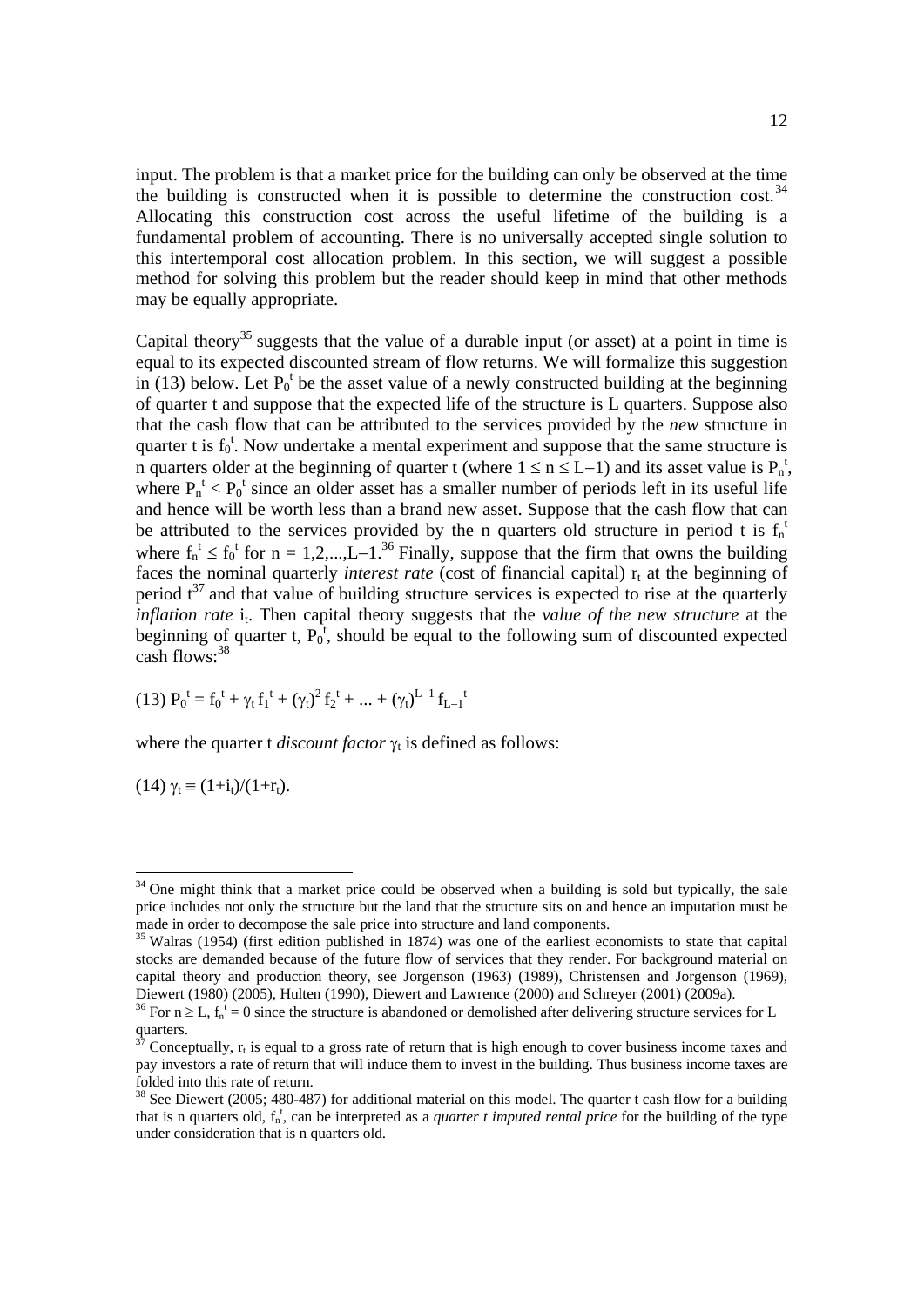input. The problem is that a market price for the building can only be observed at the time the building is constructed when it is possible to determine the construction cost.<sup>34</sup> Allocating this construction cost across the useful lifetime of the building is a fundamental problem of accounting. There is no universally accepted single solution to this intertemporal cost allocation problem. In this section, we will suggest a possible method for solving this problem but the reader should keep in mind that other methods may be equally appropriate.

Capital theory<sup>35</sup> suggests that the value of a durable input (or asset) at a point in time is equal to its expected discounted stream of flow returns. We will formalize this suggestion in (13) below. Let  $P_0^t$  be the asset value of a newly constructed building at the beginning of quarter t and suppose that the expected life of the structure is L quarters. Suppose also that the cash flow that can be attributed to the services provided by the *new* structure in quarter t is  $f_0^t$ . Now undertake a mental experiment and suppose that the same structure is n quarters older at the beginning of quarter t (where  $1 \le n \le L-1$ ) and its asset value is  $P_n^t$ , where  $P_n^t$  <  $P_0^t$  since an older asset has a smaller number of periods left in its useful life and hence will be worth less than a brand new asset. Suppose that the cash flow that can be attributed to the services provided by the n quarters old structure in period t is  $f_n$ <sup>1</sup> where  $f_n^t \le f_0^t$  for  $n = 1, 2, \dots, L-1$ .<sup>36</sup> Finally, suppose that the firm that owns the building faces the nominal quarterly *interest rate* (cost of financial capital)  $r_t$  at the beginning of period  $t^{37}$  and that value of building structure services is expected to rise at the quarterly *inflation rate* i<sub>t</sub>. Then capital theory suggests that the *value of the new structure* at the beginning of quarter t,  $P_0^{\dagger}$ , should be equal to the following sum of discounted expected  $\cosh$  flows:  $38$ 

(13) 
$$
P_0^t = f_0^t + \gamma_t f_1^t + (\gamma_t)^2 f_2^t + \dots + (\gamma_t)^{L-1} f_{L-1}^t
$$

where the quarter t *discount factor*  $\gamma_t$  is defined as follows:

(14)  $\gamma_t \equiv (1+i_t)/(1+r_t)$ .

<sup>&</sup>lt;sup>34</sup> One might think that a market price could be observed when a building is sold but typically, the sale price includes not only the structure but the land that the structure sits on and hence an imputation must be made in order to decompose the sale price into structure and land components.

<sup>&</sup>lt;sup>35</sup> Walras (1954) (first edition published in 1874) was one of the earliest economists to state that capital stocks are demanded because of the future flow of services that they render. For background material on capital theory and production theory, see Jorgenson (1963) (1989), Christensen and Jorgenson (1969), Diewert (1980) (2005), Hulten (1990), Diewert and Lawrence (2000) and Schreyer (2001) (2009a).

<sup>&</sup>lt;sup>36</sup> For  $n \ge L$ ,  $f_n^t = 0$  since the structure is abandoned or demolished after delivering structure services for L quarters.

Conceptually,  $r_t$  is equal to a gross rate of return that is high enough to cover business income taxes and pay investors a rate of return that will induce them to invest in the building. Thus business income taxes are folded into this rate of return.

<sup>&</sup>lt;sup>38</sup> See Diewert (2005; 480-487) for additional material on this model. The quarter t cash flow for a building that is n quarters old,  $f_n^t$ , can be interpreted as a *quarter t imputed rental price* for the building of the type under consideration that is n quarters old.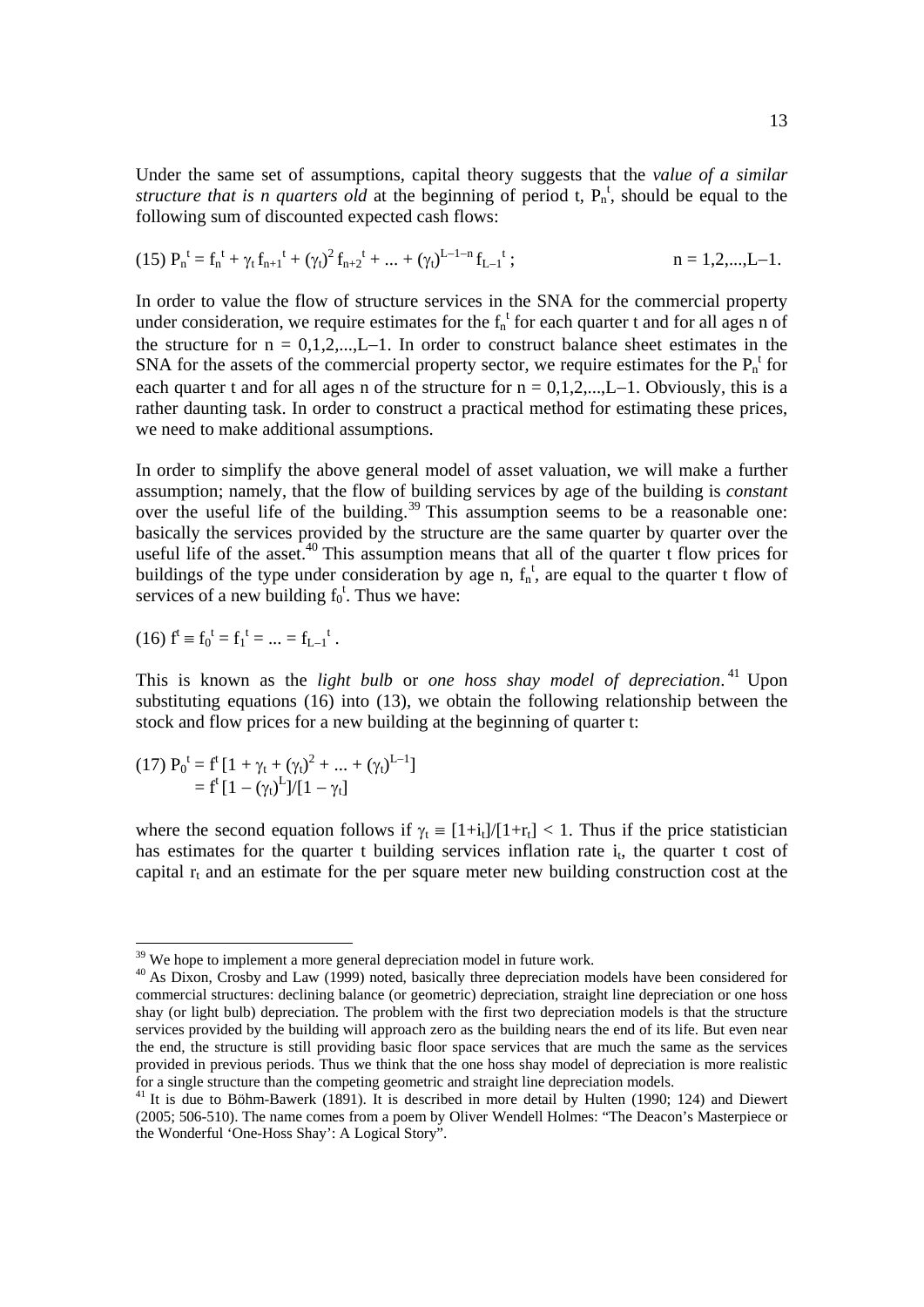Under the same set of assumptions, capital theory suggests that the *value of a similar structure that is n quarters old* at the beginning of period t,  $P_n^t$ , should be equal to the following sum of discounted expected cash flows:

$$
(15) \ P^{\ t}_n = f^{\ t}_n + \gamma_t \, f_{n+1}^{\ t} + (\gamma_t)^2 \, f_{n+2}^{\ t} + ... + (\gamma_t)^{L-1-n} \, f_{L-1}^{\ t} \ ; \hspace{1.5cm} n=1,2,...,L-1.
$$

In order to value the flow of structure services in the SNA for the commercial property under consideration, we require estimates for the  $f_n^t$  for each quarter t and for all ages n of the structure for  $n = 0,1,2,...,L-1$ . In order to construct balance sheet estimates in the SNA for the assets of the commercial property sector, we require estimates for the  $P_n^{\ t}$  for each quarter t and for all ages n of the structure for  $n = 0, 1, 2, \dots, L-1$ . Obviously, this is a rather daunting task. In order to construct a practical method for estimating these prices, we need to make additional assumptions.

In order to simplify the above general model of asset valuation, we will make a further assumption; namely, that the flow of building services by age of the building is *constant* assumption, namely, that the low of building.<sup>39</sup> This assumption seems to be a reasonable one: basically the services provided by the structure are the same quarter by quarter over the useful life of the asset.<sup>40</sup> This assumption means that all of the quarter t flow prices for buildings of the type under consideration by age n,  $f_n^t$ , are equal to the quarter t flow of services of a new building  $f_0^t$ . Thus we have:

(16) 
$$
f^t \equiv f_0^t = f_1^t = \dots = f_{L-1}^t
$$
.

This is known as the *light bulb* or *one hoss shay model of depreciation*. 41 Upon substituting equations (16) into (13), we obtain the following relationship between the stock and flow prices for a new building at the beginning of quarter t:

(17) 
$$
P_0^t = f^t [1 + \gamma_t + (\gamma_t)^2 + ... + (\gamma_t)^{L-1}]
$$
  
=  $f^t [1 - (\gamma_t)^L]/[1 - \gamma_t]$ 

where the second equation follows if  $\gamma_t = [1+i_t]/[1+r_t] < 1$ . Thus if the price statistician has estimates for the quarter t building services inflation rate  $i_t$ , the quarter t cost of capital  $r_t$  and an estimate for the per square meter new building construction cost at the

<sup>&</sup>lt;sup>39</sup> We hope to implement a more general depreciation model in future work.

<sup>&</sup>lt;sup>40</sup> As Dixon, Crosby and Law (1999) noted, basically three depreciation models have been considered for commercial structures: declining balance (or geometric) depreciation, straight line depreciation or one hoss shay (or light bulb) depreciation. The problem with the first two depreciation models is that the structure services provided by the building will approach zero as the building nears the end of its life. But even near the end, the structure is still providing basic floor space services that are much the same as the services provided in previous periods. Thus we think that the one hoss shay model of depreciation is more realistic for a single structure than the competing geometric and straight line depreciation models.

<sup>&</sup>lt;sup>41</sup> It is due to Böhm-Bawerk (1891). It is described in more detail by Hulten (1990; 124) and Diewert (2005; 506-510). The name comes from a poem by Oliver Wendell Holmes: "The Deacon's Masterpiece or the Wonderful 'One-Hoss Shay': A Logical Story".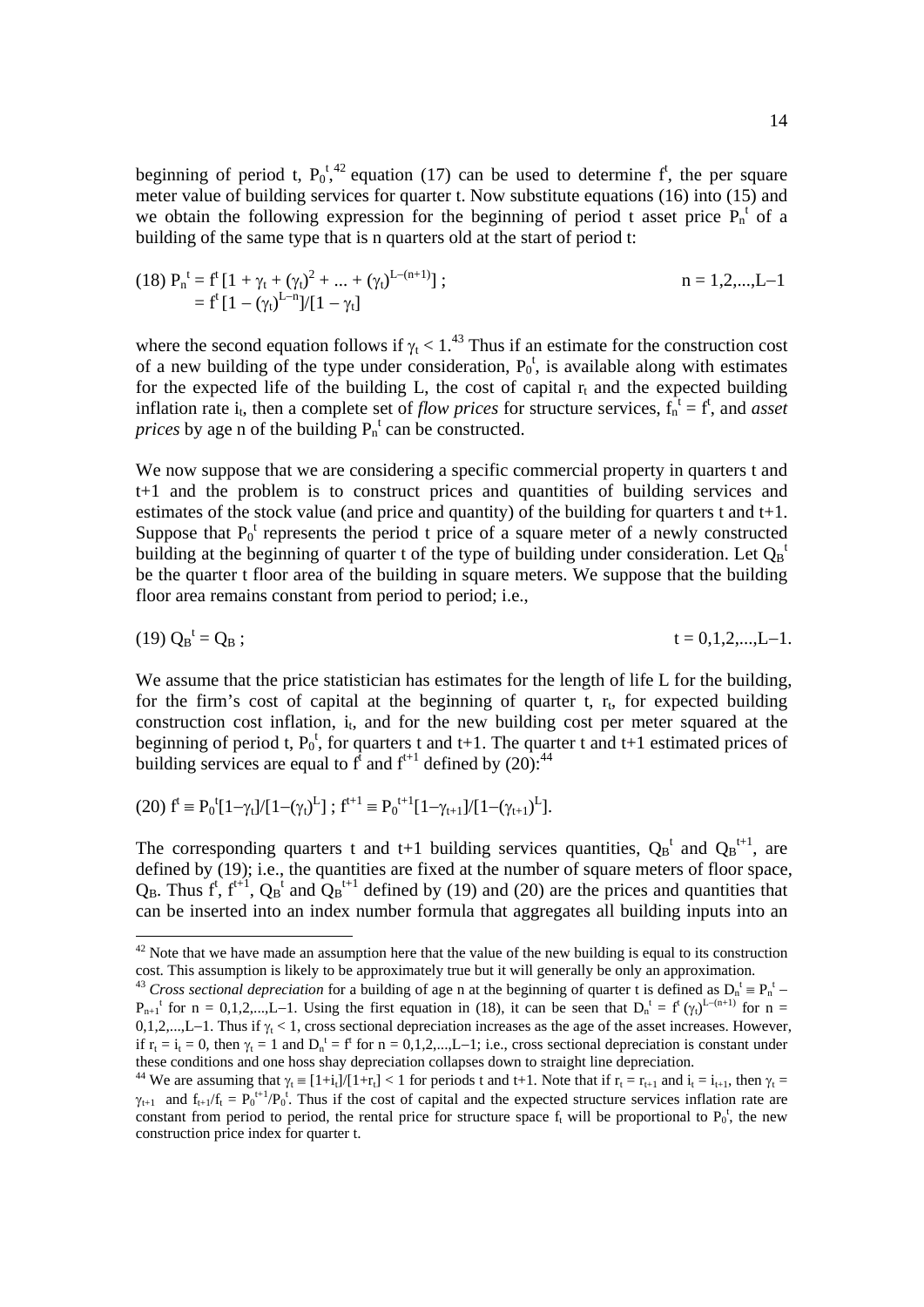beginning of period t,  $P_0^t$ ,  $\alpha$ <sup>42</sup> equation (17) can be used to determine f<sup>t</sup>, the per square meter value of building services for quarter t. Now substitute equations (16) into (15) and we obtain the following expression for the beginning of period t asset price  $P_n^t$  of a building of the same type that is n quarters old at the start of period t:

(18) 
$$
P_n^t = f^t [1 + \gamma_t + (\gamma_t)^2 + ... + (\gamma_t)^{L - (n+1)}]
$$
;  
=  $f^t [1 - (\gamma_t)^{L-n}] / [1 - \gamma_t]$ 

where the second equation follows if  $\gamma_t < 1.^{43}$  Thus if an estimate for the construction cost of a new building of the type under consideration,  $P_0^t$ , is available along with estimates for the expected life of the building L, the cost of capital  $r_t$  and the expected building inflation rate i<sub>t</sub>, then a complete set of *flow prices* for structure services,  $f_n^{\dagger} = f^{\dagger}$ , and *asset prices* by age n of the building  $P_n^t$  can be constructed.

We now suppose that we are considering a specific commercial property in quarters t and t+1 and the problem is to construct prices and quantities of building services and estimates of the stock value (and price and quantity) of the building for quarters t and t+1. Suppose that  $P_0^t$  represents the period t price of a square meter of a newly constructed building at the beginning of quarter t of the type of building under consideration. Let  $Q_B^{\dagger}$ be the quarter t floor area of the building in square meters. We suppose that the building floor area remains constant from period to period; i.e.,

$$
(19) Q_{B}^{t} = Q_{B}; \t t = 0,1,2,...,L-1.
$$

We assume that the price statistician has estimates for the length of life L for the building, for the firm's cost of capital at the beginning of quarter t,  $r_t$ , for expected building construction cost inflation,  $i_t$ , and for the new building cost per meter squared at the beginning of period t,  $P_0^t$ , for quarters t and t+1. The quarter t and t+1 estimated prices of building services are equal to  $f^{\dagger}$  and  $f^{\dagger+1}$  defined by (20):<sup>44</sup>

(20) 
$$
f^t \equiv P_0^t[1-\gamma_t]/[1-(\gamma_t)^L]
$$
;  $f^{t+1} \equiv P_0^{t+1}[1-\gamma_{t+1}]/[1-(\gamma_{t+1})^L]$ .

 $\overline{a}$ 

The corresponding quarters t and t+1 building services quantities,  $Q_B^t$  and  $Q_B^{t+1}$ , are defined by (19); i.e., the quantities are fixed at the number of square meters of floor space,  $Q_B$ . Thus  $f^t$ ,  $f^{t+1}$ ,  $Q_B^t$  and  $Q_B^{t+1}$  defined by (19) and (20) are the prices and quantities that can be inserted into an index number formula that aggregates all building inputs into an

 $42$  Note that we have made an assumption here that the value of the new building is equal to its construction cost. This assumption is likely to be approximately true but it will generally be only an approximation.

<sup>&</sup>lt;sup>43</sup> Cross sectional depreciation for a building of age n at the beginning of quarter t is defined as  $D_n^t \equiv P_n^t$  –  $P_{n+1}$ <sup>t</sup> for n = 0,1,2,...,L-1. Using the first equation in (18), it can be seen that  $D_n$ <sup>t</sup> = f<sup>t</sup> ( $\gamma$ <sub>t</sub>)<sup>L-(n+1)</sup> for n = 0,1,2,...,L-1. Thus if  $\gamma_t < 1$ , cross sectional depreciation increases as the age of the asset increases. However, if  $r_t = i_t = 0$ , then  $\gamma_t = 1$  and  $D_n^t = f^t$  for  $n = 0, 1, 2, \dots, L-1$ ; i.e., cross sectional depreciation is constant under these conditions and one hoss shay depreciation collapses down to straight line depreciation.

<sup>&</sup>lt;sup>44</sup> We are assuming that  $\gamma_t \equiv [1+i_t]/[1+r_t] < 1$  for periods t and t+1. Note that if  $r_t = r_{t+1}$  and  $i_t = i_{t+1}$ , then  $\gamma_t =$  $\gamma_{t+1}$  and  $f_{t+1}/f_t = P_0^{t+1}/P_0^t$ . Thus if the cost of capital and the expected structure services inflation rate are constant from period to period, the rental price for structure space  $f_t$  will be proportional to  $P_0^t$ , the new construction price index for quarter t.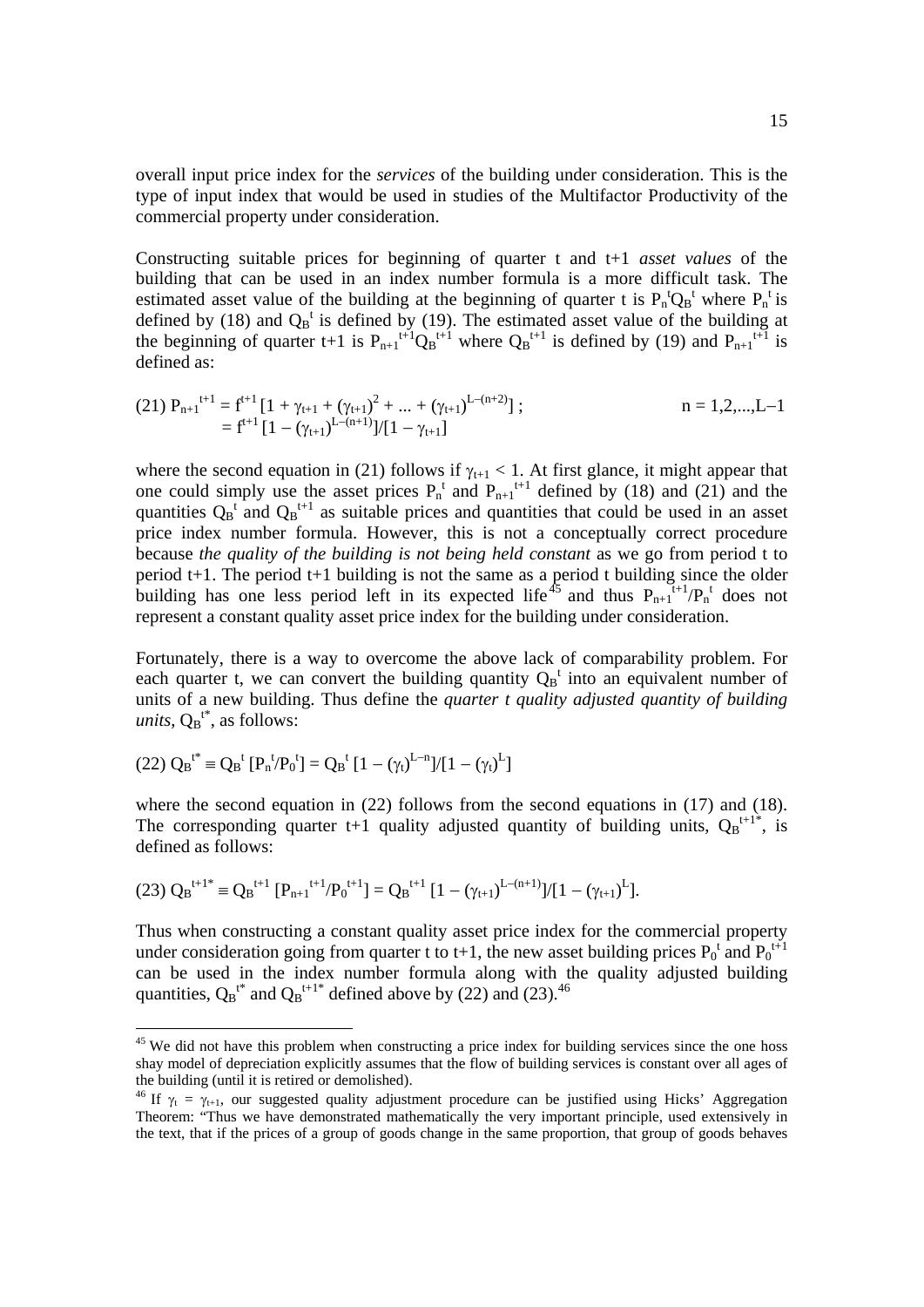overall input price index for the *services* of the building under consideration. This is the type of input index that would be used in studies of the Multifactor Productivity of the commercial property under consideration.

Constructing suitable prices for beginning of quarter t and t+1 *asset values* of the building that can be used in an index number formula is a more difficult task. The estimated asset value of the building at the beginning of quarter t is  $P_n^{\{t\}}Q_B^{\{t\}}$  where  $P_n^{\{t\}}$  is defined by (18) and  $Q_B^t$  is defined by (19). The estimated asset value of the building at the beginning of quarter t+1 is  $P_{n+1}$ <sup>t+1</sup> $Q_B$ <sup>t+1</sup> where  $Q_B$ <sup>t+1</sup> is defined by (19) and  $P_{n+1}$ <sup>t+1</sup> is defined as:

(21) 
$$
P_{n+1}^{t+1} = f^{t+1} [1 + \gamma_{t+1} + (\gamma_{t+1})^2 + ... + (\gamma_{t+1})^{L-(n+2)}];
$$
   
  $n = 1, 2, ..., L-1$    
  $f^{t+1} [1 - (\gamma_{t+1})^{L-(n+1)}]/[1 - \gamma_{t+1}]$ 

where the second equation in (21) follows if  $\gamma_{t+1}$  < 1. At first glance, it might appear that one could simply use the asset prices  $P_n^t$  and  $P_{n+1}^{t+1}$  defined by (18) and (21) and the quantities  $Q_B^t$  and  $Q_B^{t+1}$  as suitable prices and quantities that could be used in an asset price index number formula. However, this is not a conceptually correct procedure because *the quality of the building is not being held constant* as we go from period t to period t+1. The period t+1 building is not the same as a period t building since the older building has one less period left in its expected life<sup>45</sup> and thus  $P_{n+1}^{t+1}/P_n^t$  does not represent a constant quality asset price index for the building under consideration.

Fortunately, there is a way to overcome the above lack of comparability problem. For each quarter t, we can convert the building quantity  $Q_B^t$  into an equivalent number of units of a new building. Thus define the *quarter t quality adjusted quantity of building*   $units, Q_B^{t^*},$  as follows:

$$
(22)\ {Q_B}^{t^*} \equiv {Q_B}^t\ [P_n^{\ t}/P_0^{\ t}]=Q_B^{\ t}\ [1-(\gamma_t)^{L-n}]/[1-(\gamma_t)^L]
$$

 $\overline{a}$ 

where the second equation in (22) follows from the second equations in (17) and (18). The corresponding quarter t+1 quality adjusted quantity of building units,  $Q_B^{t+1}$ , is defined as follows:

$$
(23) Q_B^{t+1*} \equiv Q_B^{t+1} [P_{n+1}^{t+1}/P_0^{t+1}] = Q_B^{t+1} [1 - (\gamma_{t+1})^{L-(n+1)}]/[1 - (\gamma_{t+1})^L].
$$

Thus when constructing a constant quality asset price index for the commercial property under consideration going from quarter t to t+1, the new asset building prices  $P_0^t$  and  $P_0^{t+1}$ can be used in the index number formula along with the quality adjusted building quantities,  $Q_B^{t^*}$  and  $Q_B^{t+1^*}$  defined above by (22) and (23).<sup>46</sup>

<sup>&</sup>lt;sup>45</sup> We did not have this problem when constructing a price index for building services since the one hoss shay model of depreciation explicitly assumes that the flow of building services is constant over all ages of the building (until it is retired or demolished).

<sup>&</sup>lt;sup>46</sup> If  $\gamma_t = \gamma_{t+1}$ , our suggested quality adjustment procedure can be justified using Hicks' Aggregation Theorem: "Thus we have demonstrated mathematically the very important principle, used extensively in the text, that if the prices of a group of goods change in the same proportion, that group of goods behaves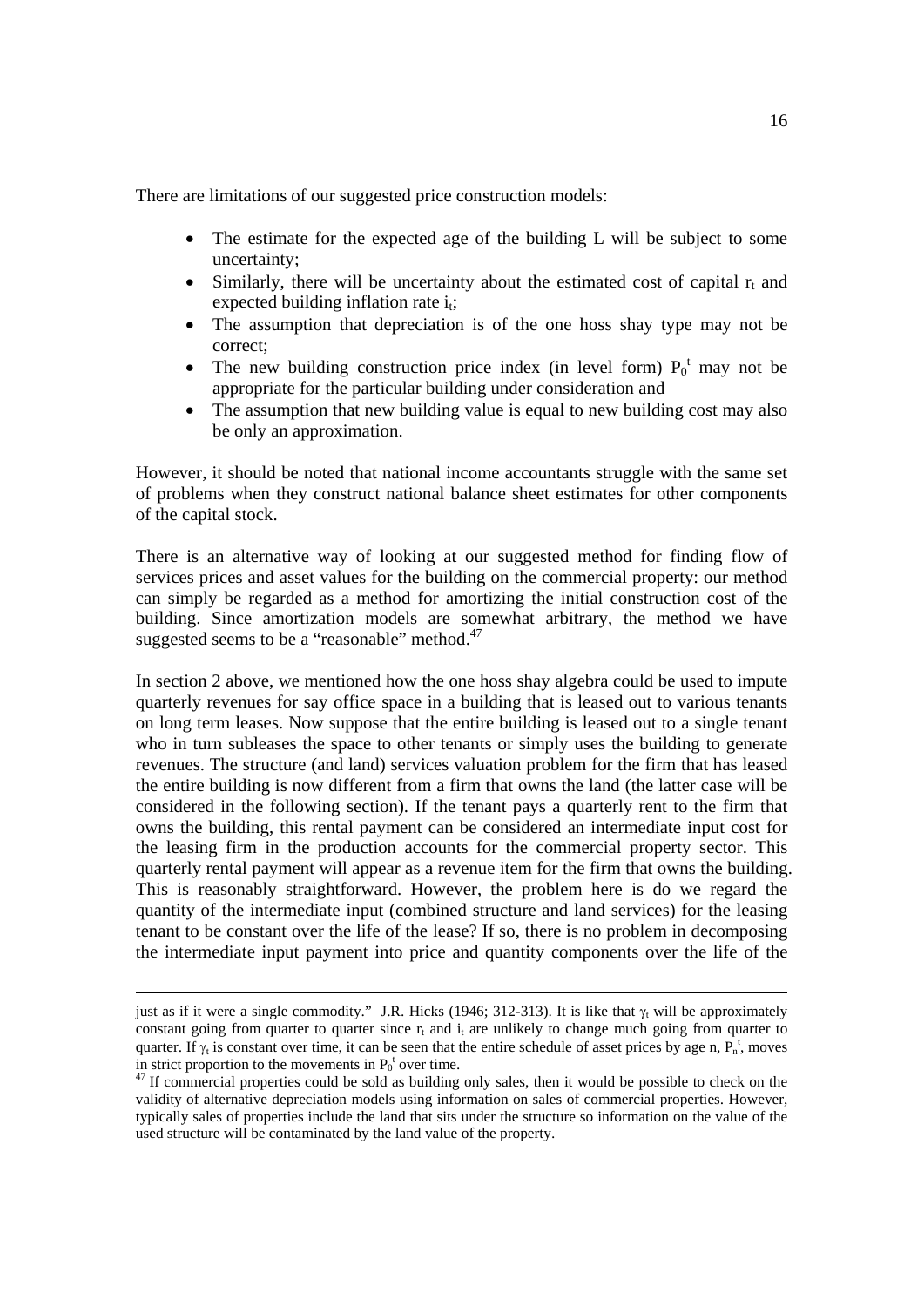There are limitations of our suggested price construction models:

- The estimate for the expected age of the building L will be subject to some uncertainty;
- $\bullet$  Similarly, there will be uncertainty about the estimated cost of capital  $r_t$  and expected building inflation rate  $i_t$ ;
- The assumption that depreciation is of the one hoss shay type may not be correct;
- The new building construction price index (in level form)  $P_0^t$  may not be appropriate for the particular building under consideration and
- The assumption that new building value is equal to new building cost may also be only an approximation.

However, it should be noted that national income accountants struggle with the same set of problems when they construct national balance sheet estimates for other components of the capital stock.

There is an alternative way of looking at our suggested method for finding flow of services prices and asset values for the building on the commercial property: our method can simply be regarded as a method for amortizing the initial construction cost of the building. Since amortization models are somewhat arbitrary, the method we have suggested seems to be a "reasonable" method.<sup>47</sup>

In section 2 above, we mentioned how the one hoss shay algebra could be used to impute quarterly revenues for say office space in a building that is leased out to various tenants on long term leases. Now suppose that the entire building is leased out to a single tenant who in turn subleases the space to other tenants or simply uses the building to generate revenues. The structure (and land) services valuation problem for the firm that has leased the entire building is now different from a firm that owns the land (the latter case will be considered in the following section). If the tenant pays a quarterly rent to the firm that owns the building, this rental payment can be considered an intermediate input cost for the leasing firm in the production accounts for the commercial property sector. This quarterly rental payment will appear as a revenue item for the firm that owns the building. This is reasonably straightforward. However, the problem here is do we regard the quantity of the intermediate input (combined structure and land services) for the leasing tenant to be constant over the life of the lease? If so, there is no problem in decomposing the intermediate input payment into price and quantity components over the life of the

just as if it were a single commodity." J.R. Hicks (1946; 312-313). It is like that  $\gamma_t$  will be approximately constant going from quarter to quarter since  $r<sub>t</sub>$  and  $i<sub>t</sub>$  are unlikely to change much going from quarter to quarter. If  $\gamma_t$  is constant over time, it can be seen that the entire schedule of asset prices by age n,  $P_n^t$ , moves in strict proportion to the movements in  $P_0^{\dagger}$ 

 $47$  If commercial properties could be sold as building only sales, then it would be possible to check on the validity of alternative depreciation models using information on sales of commercial properties. However, typically sales of properties include the land that sits under the structure so information on the value of the used structure will be contaminated by the land value of the property.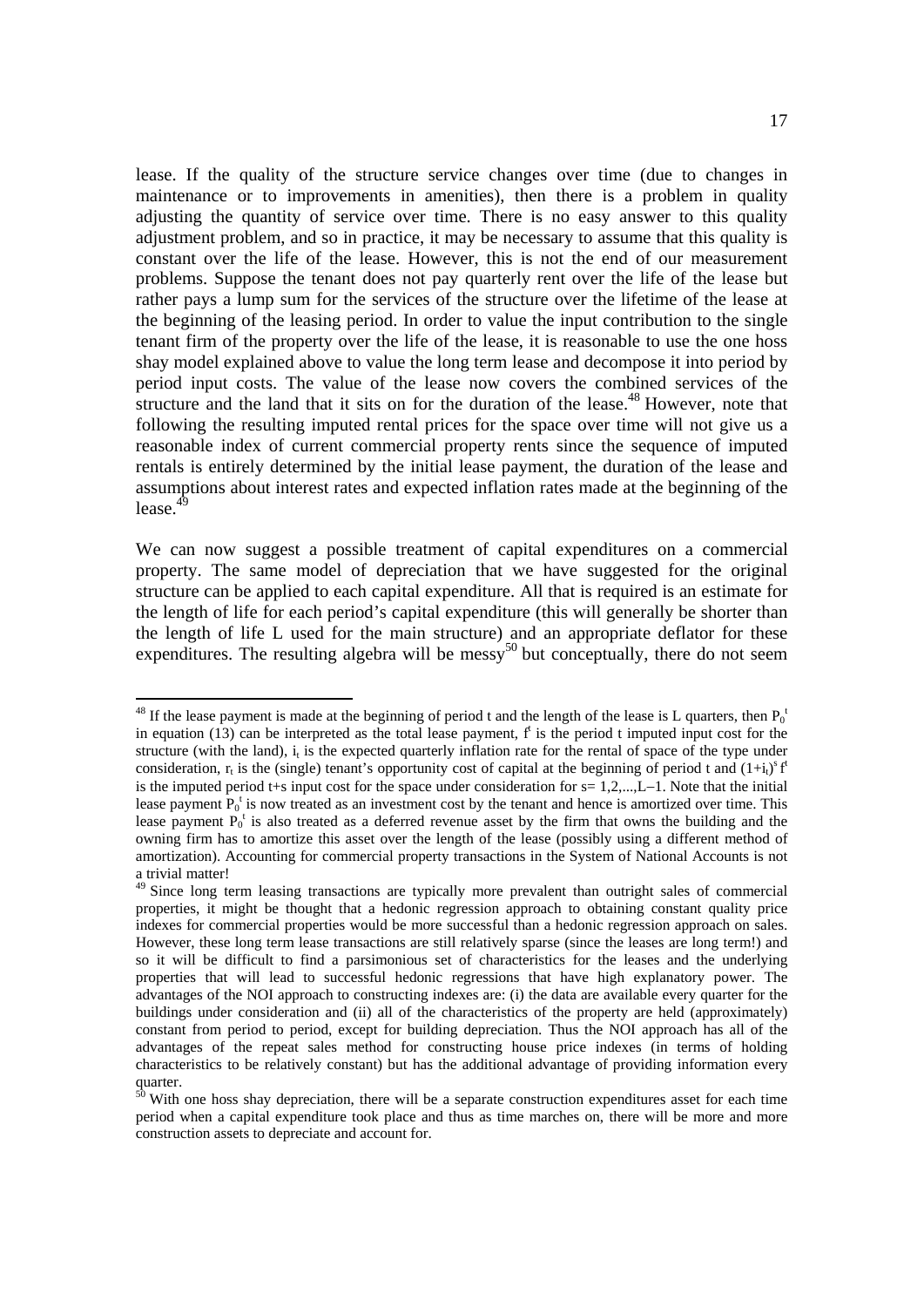lease. If the quality of the structure service changes over time (due to changes in maintenance or to improvements in amenities), then there is a problem in quality adjusting the quantity of service over time. There is no easy answer to this quality adjustment problem, and so in practice, it may be necessary to assume that this quality is constant over the life of the lease. However, this is not the end of our measurement problems. Suppose the tenant does not pay quarterly rent over the life of the lease but rather pays a lump sum for the services of the structure over the lifetime of the lease at the beginning of the leasing period. In order to value the input contribution to the single tenant firm of the property over the life of the lease, it is reasonable to use the one hoss shay model explained above to value the long term lease and decompose it into period by period input costs. The value of the lease now covers the combined services of the structure and the land that it sits on for the duration of the lease.<sup>48</sup> However, note that following the resulting imputed rental prices for the space over time will not give us a reasonable index of current commercial property rents since the sequence of imputed rentals is entirely determined by the initial lease payment, the duration of the lease and assumptions about interest rates and expected inflation rates made at the beginning of the lease. $4\frac{4}{9}$ 

We can now suggest a possible treatment of capital expenditures on a commercial property. The same model of depreciation that we have suggested for the original structure can be applied to each capital expenditure. All that is required is an estimate for the length of life for each period's capital expenditure (this will generally be shorter than the length of life L used for the main structure) and an appropriate deflator for these expenditures. The resulting algebra will be messy<sup>50</sup> but conceptually, there do not seem

 $\overline{a}$ 

<sup>&</sup>lt;sup>48</sup> If the lease payment is made at the beginning of period t and the length of the lease is L quarters, then  $P_0$ <sup>1</sup> in equation  $(13)$  can be interpreted as the total lease payment,  $f^{\text{t}}$  is the period t imputed input cost for the structure (with the land),  $i_t$  is the expected quarterly inflation rate for the rental of space of the type under consideration,  $r_t$  is the (single) tenant's opportunity cost of capital at the beginning of period t and  $(1+i_t)^s$  f is the imputed period t+s input cost for the space under consideration for  $s=1,2,...,L-1$ . Note that the initial lease payment  $P_0^t$  is now treated as an investment cost by the tenant and hence is amortized over time. This lease payment  $P_0^t$  is also treated as a deferred revenue asset by the firm that owns the building and the owning firm has to amortize this asset over the length of the lease (possibly using a different method of amortization). Accounting for commercial property transactions in the System of National Accounts is not a trivial matter!

<sup>&</sup>lt;sup>49</sup> Since long term leasing transactions are typically more prevalent than outright sales of commercial properties, it might be thought that a hedonic regression approach to obtaining constant quality price indexes for commercial properties would be more successful than a hedonic regression approach on sales. However, these long term lease transactions are still relatively sparse (since the leases are long term!) and so it will be difficult to find a parsimonious set of characteristics for the leases and the underlying properties that will lead to successful hedonic regressions that have high explanatory power. The advantages of the NOI approach to constructing indexes are: (i) the data are available every quarter for the buildings under consideration and (ii) all of the characteristics of the property are held (approximately) constant from period to period, except for building depreciation. Thus the NOI approach has all of the advantages of the repeat sales method for constructing house price indexes (in terms of holding characteristics to be relatively constant) but has the additional advantage of providing information every  $\frac{\text{mct}}{50}$ 

 $\overline{6}^{\prime}$  With one hoss shay depreciation, there will be a separate construction expenditures asset for each time period when a capital expenditure took place and thus as time marches on, there will be more and more construction assets to depreciate and account for.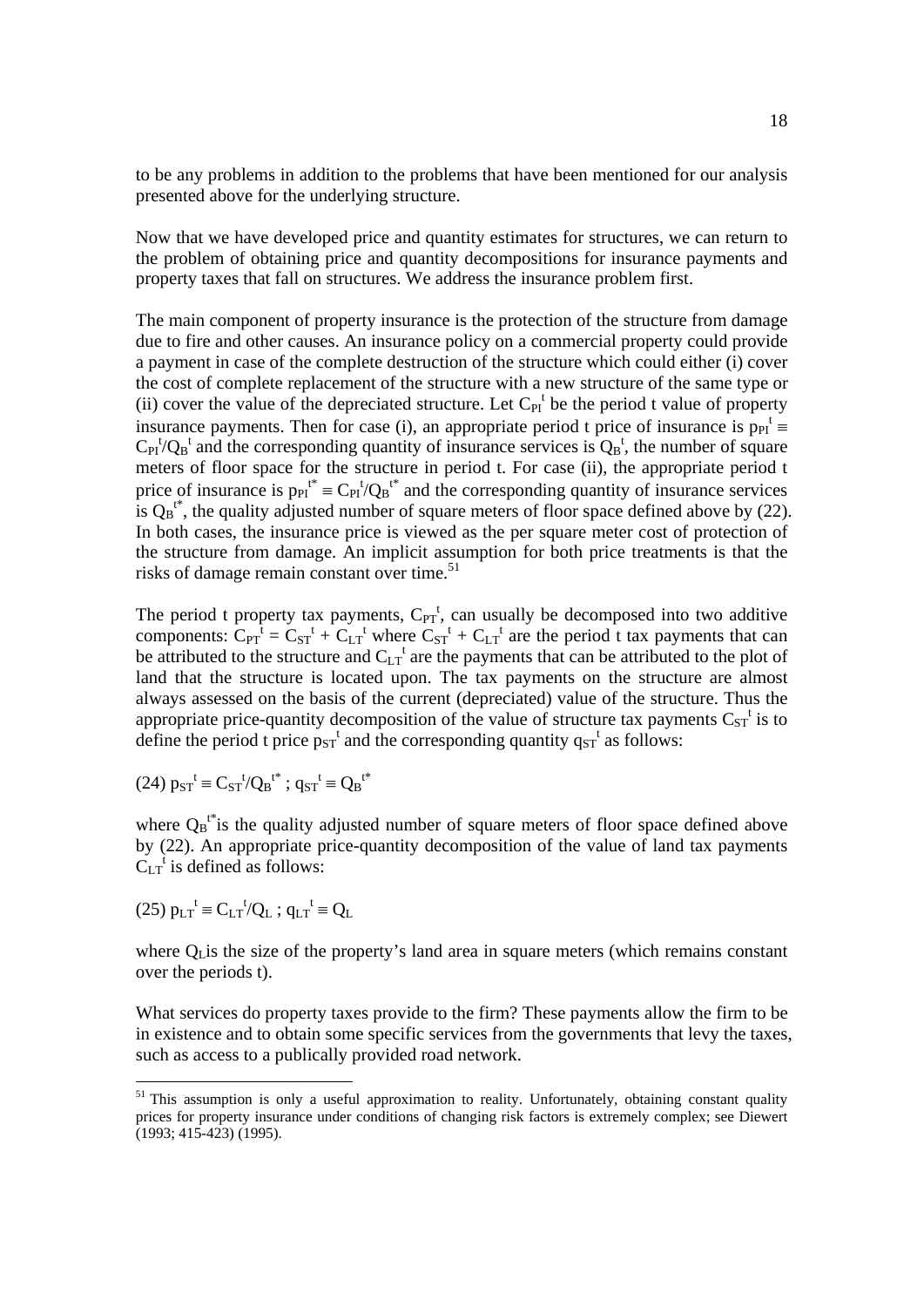to be any problems in addition to the problems that have been mentioned for our analysis presented above for the underlying structure.

Now that we have developed price and quantity estimates for structures, we can return to the problem of obtaining price and quantity decompositions for insurance payments and property taxes that fall on structures. We address the insurance problem first.

The main component of property insurance is the protection of the structure from damage due to fire and other causes. An insurance policy on a commercial property could provide a payment in case of the complete destruction of the structure which could either (i) cover the cost of complete replacement of the structure with a new structure of the same type or (ii) cover the value of the depreciated structure. Let  $C_{PI}^t$  be the period t value of property insurance payments. Then for case (i), an appropriate period t price of insurance is  $p_{PI}^t$  $C_{PI}^{t'}Q_{B}^{t}$  and the corresponding quantity of insurance services is  $Q_{B}^{t}$ , the number of square meters of floor space for the structure in period t. For case (ii), the appropriate period t price of insurance is  $p_{PI}^{t*} = C_{PI}^{t} / Q_B^{t*}$  and the corresponding quantity of insurance services is  $Q_B^{t*}$ , the quality adjusted number of square meters of floor space defined above by (22). In both cases, the insurance price is viewed as the per square meter cost of protection of the structure from damage. An implicit assumption for both price treatments is that the risks of damage remain constant over time. $51$ 

The period t property tax payments,  $C_{PT}^{t}$ , can usually be decomposed into two additive components:  $C_{PT}^{\dagger} = C_{ST}^{\dagger} + C_{LT}^{\dagger}$  where  $C_{ST}^{\dagger} + C_{LT}^{\dagger}$  are the period t tax payments that can be attributed to the structure and  $C_{LT}^t$  are the payments that can be attributed to the plot of land that the structure is located upon. The tax payments on the structure are almost always assessed on the basis of the current (depreciated) value of the structure. Thus the appropriate price-quantity decomposition of the value of structure tax payments  $C_{ST}$ <sup>t</sup> is to define the period t price  $p_{ST}^t$  and the corresponding quantity  $q_{ST}^t$  as follows:

(24) 
$$
p_{ST}^t \equiv C_{ST}^{t} / Q_B^{t^*}
$$
;  $q_{ST}^t \equiv Q_B^{t^*}$ 

where  $Q_B t^*$  is the quality adjusted number of square meters of floor space defined above by (22). An appropriate price-quantity decomposition of the value of land tax payments  $C_{LT}$ <sup>t</sup> is defined as follows:

$$
(25) p_{LT}^t \equiv C_{LT}^t/Q_L ; q_{LT}^t \equiv Q_L
$$

where  $Q<sub>L</sub>$  is the size of the property's land area in square meters (which remains constant over the periods t).

What services do property taxes provide to the firm? These payments allow the firm to be in existence and to obtain some specific services from the governments that levy the taxes, such as access to a publically provided road network.

<sup>&</sup>lt;sup>51</sup> This assumption is only a useful approximation to reality. Unfortunately, obtaining constant quality prices for property insurance under conditions of changing risk factors is extremely complex; see Diewert  $(1993; 415-423)$   $(1995)$ .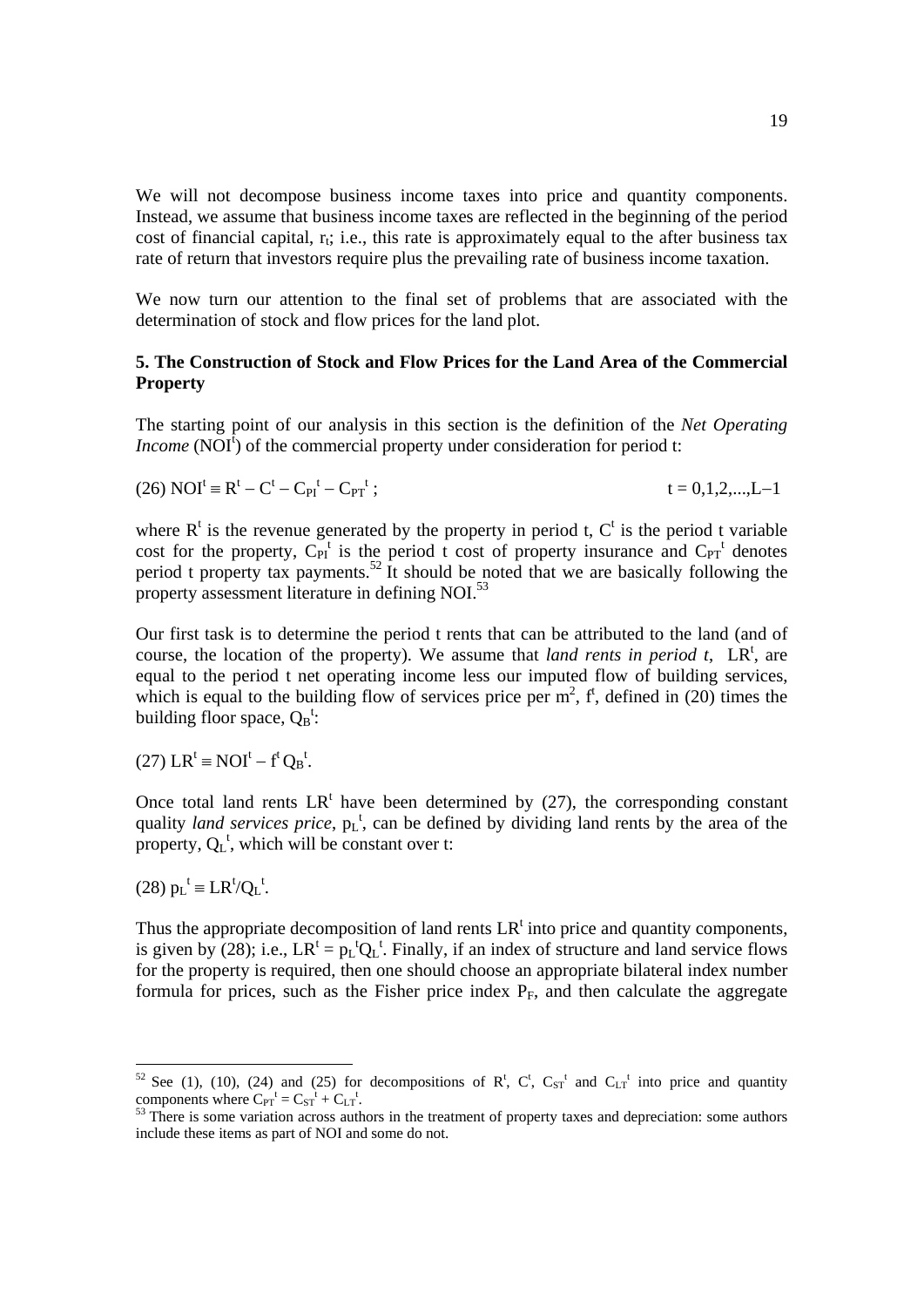We will not decompose business income taxes into price and quantity components. Instead, we assume that business income taxes are reflected in the beginning of the period cost of financial capital,  $r_t$ ; i.e., this rate is approximately equal to the after business tax rate of return that investors require plus the prevailing rate of business income taxation.

We now turn our attention to the final set of problems that are associated with the determination of stock and flow prices for the land plot.

# **5. The Construction of Stock and Flow Prices for the Land Area of the Commercial Property**

The starting point of our analysis in this section is the definition of the *Net Operating Income* (NOI $^{\dagger}$ ) of the commercial property under consideration for period t:

(26) 
$$
NOI^t \equiv R^t - C^t - C_{PI}^t - C_{PT}^t
$$
;  $t = 0, 1, 2, \dots, L-1$ 

where  $R^t$  is the revenue generated by the property in period t,  $C^t$  is the period t variable cost for the property,  $C_{PI}^t$  is the period t cost of property insurance and  $C_{PT}^t$  denotes period t property tax payments.<sup>52</sup> It should be noted that we are basically following the property assessment literature in defining NOI.<sup>53</sup>

Our first task is to determine the period t rents that can be attributed to the land (and of course, the location of the property). We assume that *land rents in period t*,  $LR<sup>t</sup>$ , are equal to the period t net operating income less our imputed flow of building services, which is equal to the building flow of services price per  $m^2$ ,  $f^t$ , defined in (20) times the building floor space,  $Q_B^t$ :

 $(27)$  LR<sup>t</sup> = NOI<sup>t</sup> – f<sup>t</sup> Q<sub>B</sub><sup>t</sup>.

Once total land rents  $LR<sup>t</sup>$  have been determined by (27), the corresponding constant quality *land services price*,  $p_L$ <sup>t</sup>, can be defined by dividing land rents by the area of the property,  $Q_L^t$ , which will be constant over t:

(28)  $p_L^t = LR^t/Q_L^t$ .

Thus the appropriate decomposition of land rents  $LR<sup>t</sup>$  into price and quantity components, is given by (28); i.e.,  $LR^t = p_L^t Q_L^t$ . Finally, if an index of structure and land service flows for the property is required, then one should choose an appropriate bilateral index number formula for prices, such as the Fisher price index  $P_F$ , and then calculate the aggregate

<sup>&</sup>lt;sup>52</sup> See (1), (10), (24) and (25) for decompositions of R<sup>t</sup>, C<sup>t</sup>, C<sub>ST</sub><sup>t</sup> and C<sub>LT</sub><sup>t</sup> into price and quantity components where  $C_{PT}^t = C_{ST}^t + C_{LT}^t$ 

<sup>&</sup>lt;sup>53</sup> There is some variation across authors in the treatment of property taxes and depreciation: some authors include these items as part of NOI and some do not.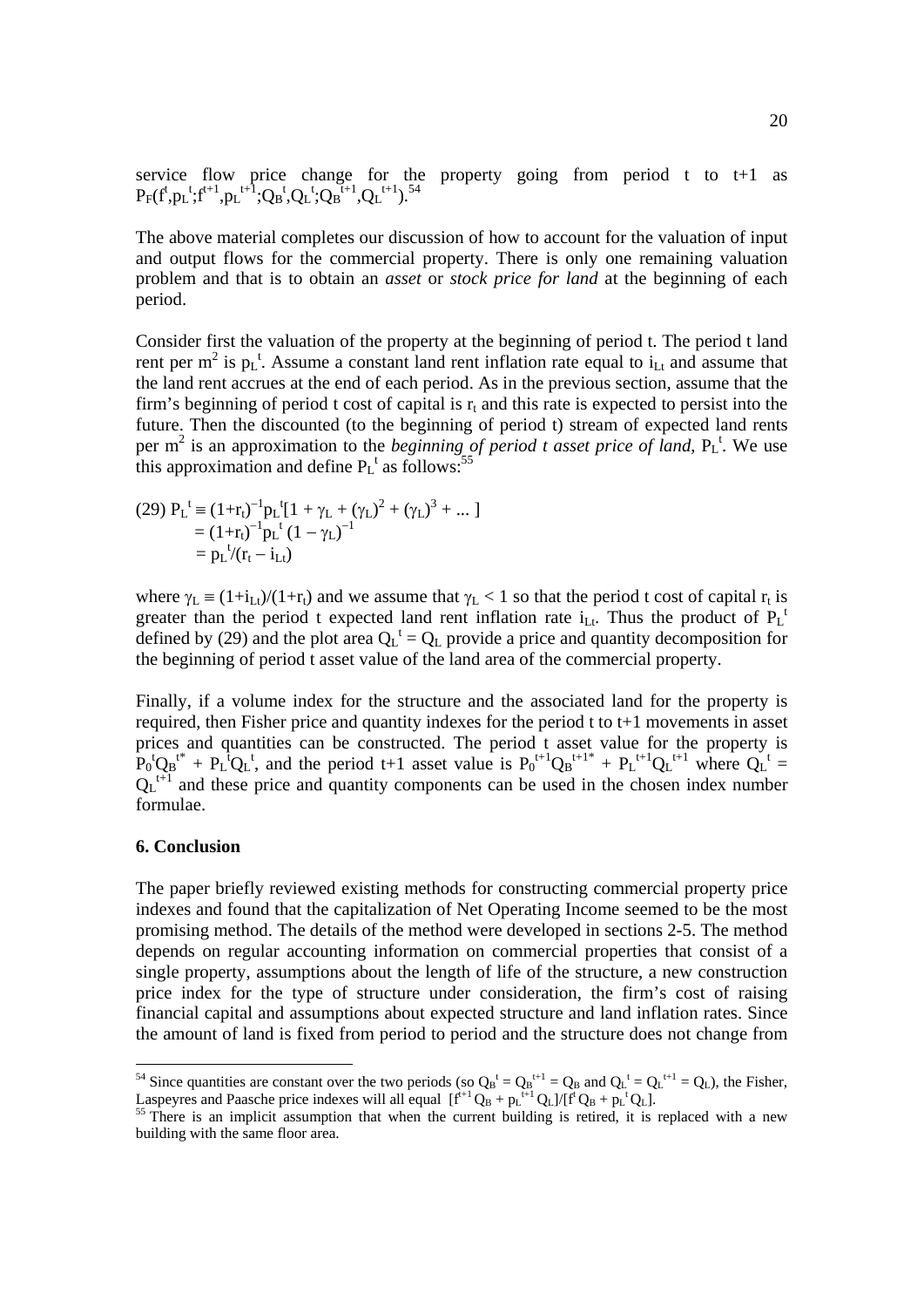service flow price change for the property going from period t to t+1 as  $P_F(f^t, p_L^t; f^{t+1}, p_L^{t+1}; Q_B^t, Q_L^t; Q_B^{t+1}, Q_L^{t+1}),$ <sup>54</sup>

The above material completes our discussion of how to account for the valuation of input and output flows for the commercial property. There is only one remaining valuation problem and that is to obtain an *asset* or *stock price for land* at the beginning of each period.

Consider first the valuation of the property at the beginning of period t. The period t land rent per  $m^2$  is  $p_L^t$ . Assume a constant land rent inflation rate equal to  $i_{Lt}$  and assume that the land rent accrues at the end of each period. As in the previous section, assume that the firm's beginning of period t cost of capital is  $r<sub>t</sub>$  and this rate is expected to persist into the future. Then the discounted (to the beginning of period t) stream of expected land rents per  $m^2$  is an approximation to the *beginning of period t asset price of land*,  $P_L^t$ . We use this approximation and define  $P_L^t$  as follows:<sup>55</sup>

(29) 
$$
P_L^t \equiv (1 + r_t)^{-1} p_L^t [1 + \gamma_L + (\gamma_L)^2 + (\gamma_L)^3 + ...]
$$
  
=  $(1 + r_t)^{-1} p_L^t (1 - \gamma_L)^{-1}$   
=  $p_L^t / (r_t - i_{Lt})$ 

where  $\gamma_L = (1+i_{Lt})/(1+r_t)$  and we assume that  $\gamma_L < 1$  so that the period t cost of capital  $r_t$  is greater than the period t expected land rent inflation rate  $i_{\text{L}t}$ . Thus the product of  $P_{\text{L}}$ <sup>t</sup> defined by (29) and the plot area  $Q_L^t = Q_L$  provide a price and quantity decomposition for the beginning of period t asset value of the land area of the commercial property.

Finally, if a volume index for the structure and the associated land for the property is required, then Fisher price and quantity indexes for the period t to t+1 movements in asset prices and quantities can be constructed. The period t asset value for the property is  $P_0^tQ_B^{t*} + P_L^tQ_L^t$ , and the period t+1 asset value is  $P_0^{t+1}Q_B^{t+1*} + P_L^{t+1}Q_L^{t+1}$  where  $Q_L^t =$  $Q_L$ <sup>t+1</sup> and these price and quantity components can be used in the chosen index number formulae.

#### **6. Conclusion**

The paper briefly reviewed existing methods for constructing commercial property price indexes and found that the capitalization of Net Operating Income seemed to be the most promising method. The details of the method were developed in sections 2-5. The method depends on regular accounting information on commercial properties that consist of a single property, assumptions about the length of life of the structure, a new construction price index for the type of structure under consideration, the firm's cost of raising financial capital and assumptions about expected structure and land inflation rates. Since the amount of land is fixed from period to period and the structure does not change from

<sup>&</sup>lt;sup>54</sup> Since quantities are constant over the two periods (so  $Q_B^t = Q_B^{t+1} = Q_B$  and  $Q_L^t = Q_L^{t+1} = Q_L$ ), the Fisher, Laspeyres and Paasche price indexes will all equal  $[f<sup>t+1</sup>Q<sub>B</sub> + p<sub>L</sub><sup>t+1</sup>Q<sub>L</sub>]/[f<sup>t</sup>Q<sub>B</sub> + p<sub>L</sub><sup>t</sup>Q<sub>L</sub>].$ <sup>55</sup> There is an implicit assumption that when the current building is retired, it is replac

building with the same floor area.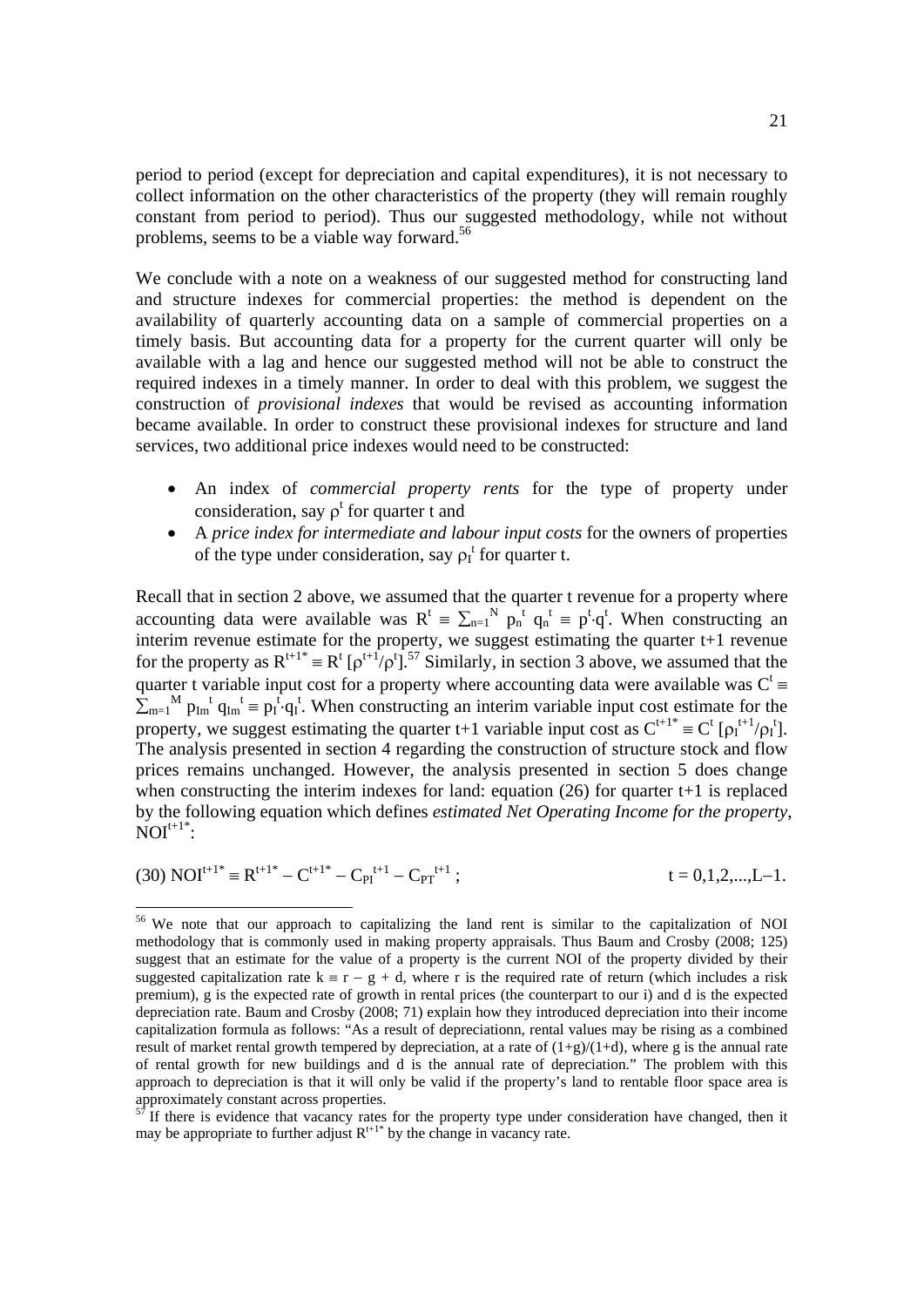period to period (except for depreciation and capital expenditures), it is not necessary to collect information on the other characteristics of the property (they will remain roughly constant from period to period). Thus our suggested methodology, while not without problems, seems to be a viable way forward.<sup>56</sup>

We conclude with a note on a weakness of our suggested method for constructing land and structure indexes for commercial properties: the method is dependent on the availability of quarterly accounting data on a sample of commercial properties on a timely basis. But accounting data for a property for the current quarter will only be available with a lag and hence our suggested method will not be able to construct the required indexes in a timely manner. In order to deal with this problem, we suggest the construction of *provisional indexes* that would be revised as accounting information became available. In order to construct these provisional indexes for structure and land services, two additional price indexes would need to be constructed:

- An index of *commercial property rents* for the type of property under consideration, say  $\rho^t$  for quarter t and
- A *price index for intermediate and labour input costs* for the owners of properties of the type under consideration, say  $\rho_I^t$  for quarter t.

Recall that in section 2 above, we assumed that the quarter t revenue for a property where accounting data were available was  $R^t = \sum_{n=1}^{N} p_n^t q_n^t = p^t \cdot q^t$ . When constructing an interim revenue estimate for the property, we suggest estimating the quarter t+1 revenue for the property as  $R^{t+1*} = R^t [\rho^{t+1} / \rho^t]$ .<sup>57</sup> Similarly, in section 3 above, we assumed that the quarter t variable input cost for a property where accounting data were available was  $C^t$  $\Sigma_{m=1}^{M}$   $p_{Im}^{t}$   $q_{Im}^{t}$  =  $p_{I}^{t}$  $q_{I}^{t}$ . When constructing an interim variable input cost estimate for the property, we suggest estimating the quarter t+1 variable input cost as  $C^{t+1^*} = C^t [\rho_I^{t+1}/\rho_I^t]$ . The analysis presented in section 4 regarding the construction of structure stock and flow prices remains unchanged. However, the analysis presented in section 5 does change when constructing the interim indexes for land: equation (26) for quarter t+1 is replaced by the following equation which defines *estimated Net Operating Income for the property*,  $\text{NOT}^{t+1*}$ :

(30) 
$$
NOI^{t+1*} = R^{t+1*} - C^{t+1*} - C_{PI}^{t+1} - C_{PT}^{t+1}
$$
;  $t = 0,1,2,...,L-1$ .

<sup>&</sup>lt;sup>56</sup> We note that our approach to capitalizing the land rent is similar to the capitalization of NOI methodology that is commonly used in making property appraisals. Thus Baum and Crosby (2008; 125) suggest that an estimate for the value of a property is the current NOI of the property divided by their suggested capitalization rate  $k = r - g + d$ , where r is the required rate of return (which includes a risk premium), g is the expected rate of growth in rental prices (the counterpart to our i) and d is the expected depreciation rate. Baum and Crosby (2008; 71) explain how they introduced depreciation into their income capitalization formula as follows: "As a result of depreciationn, rental values may be rising as a combined result of market rental growth tempered by depreciation, at a rate of  $(1+g)/(1+d)$ , where g is the annual rate of rental growth for new buildings and d is the annual rate of depreciation." The problem with this approach to depreciation is that it will only be valid if the property's land to rentable floor space area is approximately constant across properties.<br> $\frac{57}{16}$  there

 $57$  If there is evidence that vacancy rates for the property type under consideration have changed, then it may be appropriate to further adjust  $R^{t+1*}$  by the change in vacancy rate.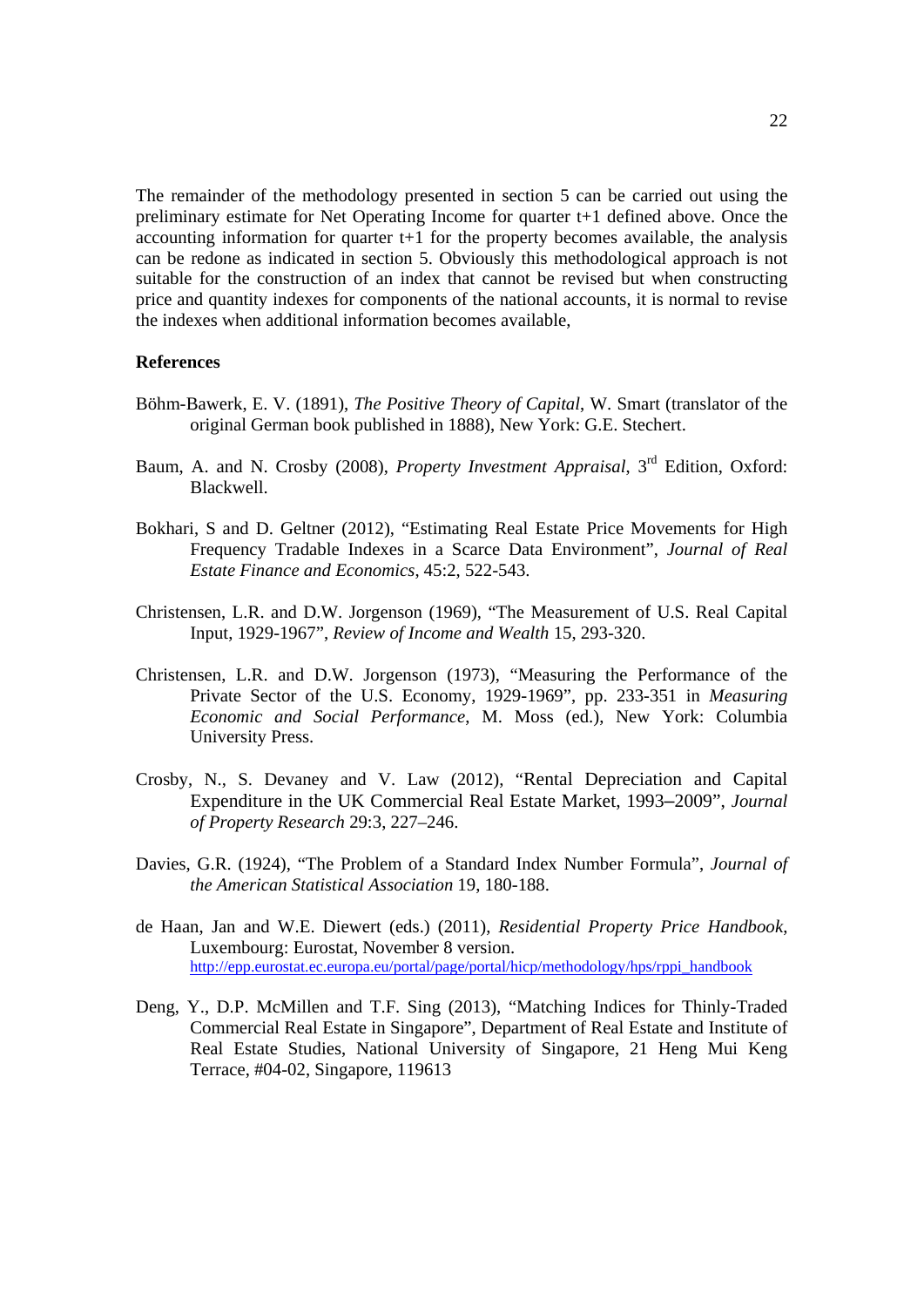The remainder of the methodology presented in section 5 can be carried out using the preliminary estimate for Net Operating Income for quarter t+1 defined above. Once the accounting information for quarter t+1 for the property becomes available, the analysis can be redone as indicated in section 5. Obviously this methodological approach is not suitable for the construction of an index that cannot be revised but when constructing price and quantity indexes for components of the national accounts, it is normal to revise the indexes when additional information becomes available,

#### **References**

- Böhm-Bawerk, E. V. (1891), *The Positive Theory of Capital*, W. Smart (translator of the original German book published in 1888), New York: G.E. Stechert.
- Baum, A. and N. Crosby (2008), *Property Investment Appraisal*, 3rd Edition, Oxford: Blackwell.
- Bokhari, S and D. Geltner (2012), "Estimating Real Estate Price Movements for High Frequency Tradable Indexes in a Scarce Data Environment", *Journal of Real Estate Finance and Economics*, 45:2, 522-543.
- Christensen, L.R. and D.W. Jorgenson (1969), "The Measurement of U.S. Real Capital Input, 1929-1967", *Review of Income and Wealth* 15, 293-320.
- Christensen, L.R. and D.W. Jorgenson (1973), "Measuring the Performance of the Private Sector of the U.S. Economy, 1929-1969", pp. 233-351 in *Measuring Economic and Social Performance*, M. Moss (ed.), New York: Columbia University Press.
- Crosby, N., S. Devaney and V. Law (2012), "Rental Depreciation and Capital Expenditure in the UK Commercial Real Estate Market, 1993–2009", *Journal of Property Research* 29:3, 227–246.
- Davies, G.R. (1924), "The Problem of a Standard Index Number Formula", *Journal of the American Statistical Association* 19, 180-188.
- de Haan, Jan and W.E. Diewert (eds.) (2011), *Residential Property Price Handbook*, Luxembourg: Eurostat, November 8 version. http://epp.eurostat.ec.europa.eu/portal/page/portal/hicp/methodology/hps/rppi\_handbook
- Deng, Y., D.P. McMillen and T.F. Sing (2013), "Matching Indices for Thinly-Traded Commercial Real Estate in Singapore", Department of Real Estate and Institute of Real Estate Studies, National University of Singapore, 21 Heng Mui Keng Terrace, #04-02, Singapore, 119613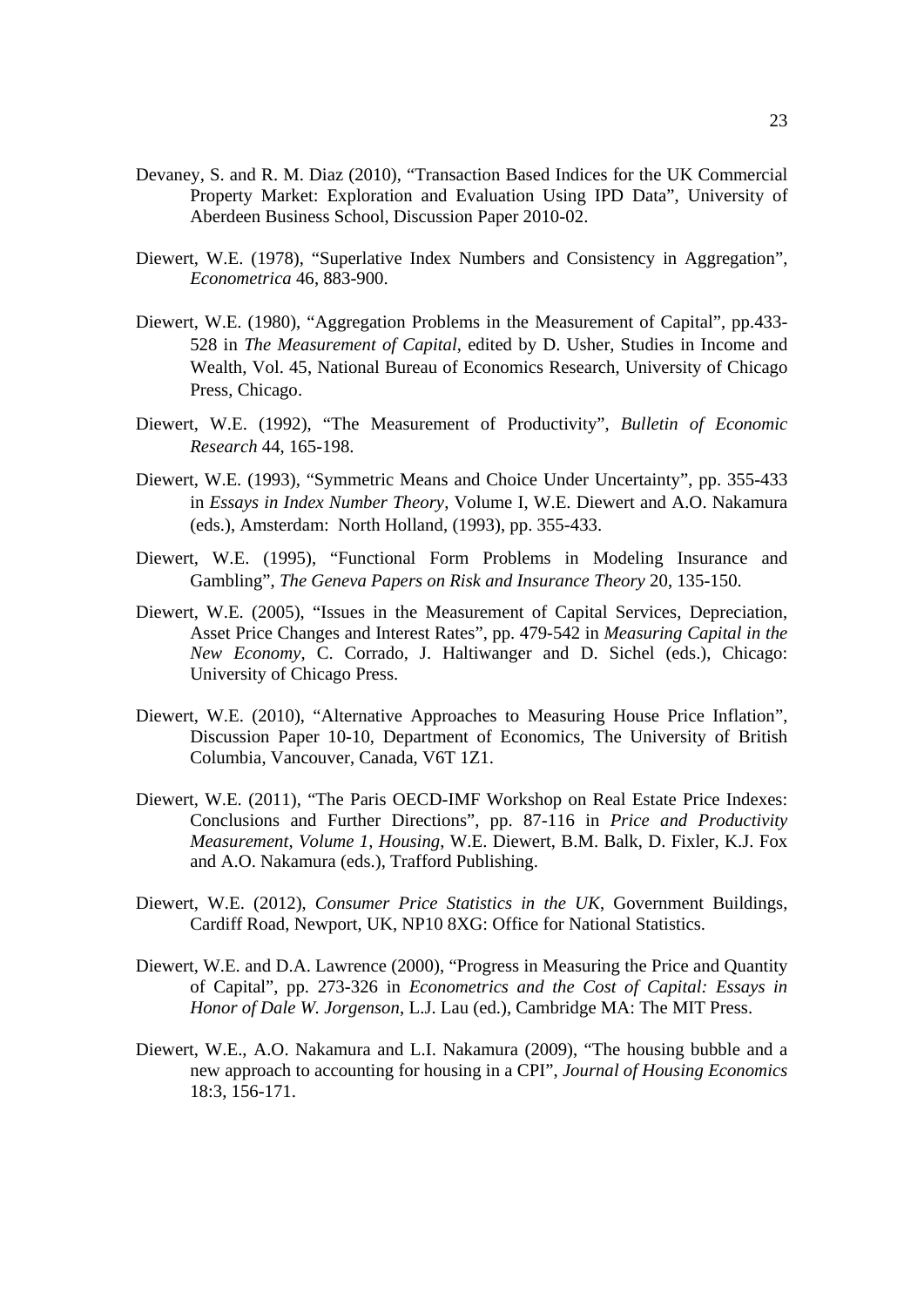- Devaney, S. and R. M. Diaz (2010), "Transaction Based Indices for the UK Commercial Property Market: Exploration and Evaluation Using IPD Data", University of Aberdeen Business School, Discussion Paper 2010-02.
- Diewert, W.E. (1978), "Superlative Index Numbers and Consistency in Aggregation", *Econometrica* 46, 883-900.
- Diewert, W.E. (1980), "Aggregation Problems in the Measurement of Capital", pp.433- 528 in *The Measurement of Capital*, edited by D. Usher, Studies in Income and Wealth, Vol. 45, National Bureau of Economics Research, University of Chicago Press, Chicago.
- Diewert, W.E. (1992), "The Measurement of Productivity", *Bulletin of Economic Research* 44, 165-198.
- Diewert, W.E. (1993), "Symmetric Means and Choice Under Uncertainty", pp. 355-433 in *Essays in Index Number Theory*, Volume I, W.E. Diewert and A.O. Nakamura (eds.), Amsterdam: North Holland, (1993), pp. 355-433.
- Diewert, W.E. (1995), "Functional Form Problems in Modeling Insurance and Gambling", *The Geneva Papers on Risk and Insurance Theory* 20, 135-150.
- Diewert, W.E. (2005), "Issues in the Measurement of Capital Services, Depreciation, Asset Price Changes and Interest Rates", pp. 479-542 in *Measuring Capital in the New Economy*, C. Corrado, J. Haltiwanger and D. Sichel (eds.), Chicago: University of Chicago Press.
- Diewert, W.E. (2010), "Alternative Approaches to Measuring House Price Inflation", Discussion Paper 10-10, Department of Economics, The University of British Columbia, Vancouver, Canada, V6T 1Z1.
- Diewert, W.E. (2011), "The Paris OECD-IMF Workshop on Real Estate Price Indexes: Conclusions and Further Directions", pp. 87-116 in *Price and Productivity Measurement, Volume 1, Housing*, W.E. Diewert, B.M. Balk, D. Fixler, K.J. Fox and A.O. Nakamura (eds.), Trafford Publishing.
- Diewert, W.E. (2012), *Consumer Price Statistics in the UK*, Government Buildings, Cardiff Road, Newport, UK, NP10 8XG: Office for National Statistics.
- Diewert, W.E. and D.A. Lawrence (2000), "Progress in Measuring the Price and Quantity of Capital", pp. 273-326 in *Econometrics and the Cost of Capital: Essays in Honor of Dale W. Jorgenson*, L.J. Lau (ed.), Cambridge MA: The MIT Press.
- Diewert, W.E., A.O. Nakamura and L.I. Nakamura (2009), "The housing bubble and a new approach to accounting for housing in a CPI", *Journal of Housing Economics* 18:3, 156-171.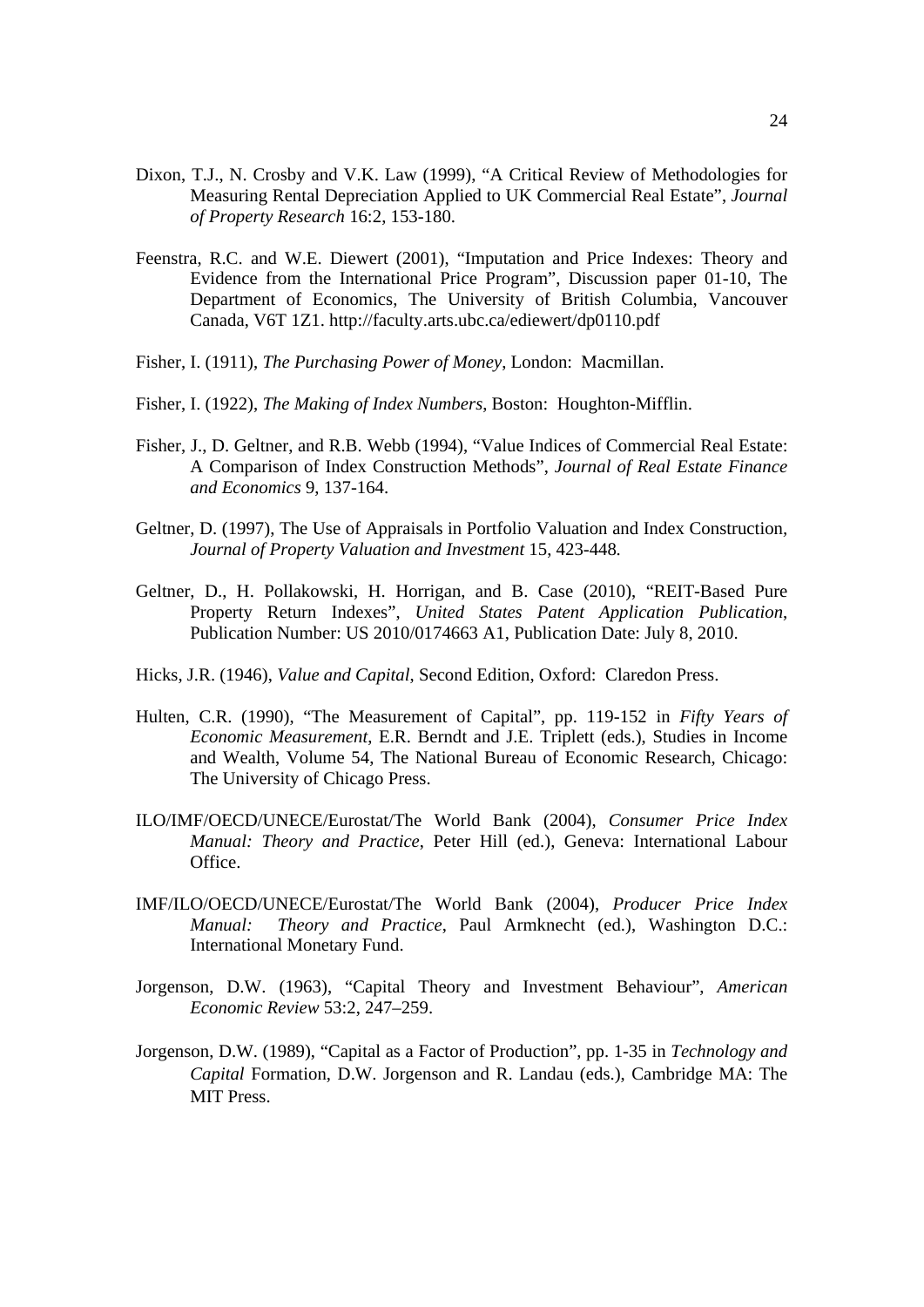- Dixon, T.J., N. Crosby and V.K. Law (1999), "A Critical Review of Methodologies for Measuring Rental Depreciation Applied to UK Commercial Real Estate", *Journal of Property Research* 16:2, 153-180.
- Feenstra, R.C. and W.E. Diewert (2001), "Imputation and Price Indexes: Theory and Evidence from the International Price Program", Discussion paper 01-10, The Department of Economics, The University of British Columbia, Vancouver Canada, V6T 1Z1. http://faculty.arts.ubc.ca/ediewert/dp0110.pdf
- Fisher, I. (1911), *The Purchasing Power of Money*, London: Macmillan.
- Fisher, I. (1922), *The Making of Index Numbers*, Boston: Houghton-Mifflin.
- Fisher, J., D. Geltner, and R.B. Webb (1994), "Value Indices of Commercial Real Estate: A Comparison of Index Construction Methods", *Journal of Real Estate Finance and Economics* 9, 137-164.
- Geltner, D. (1997), The Use of Appraisals in Portfolio Valuation and Index Construction*, Journal of Property Valuation and Investment* 15, 423*-*448*.*
- Geltner, D., H. Pollakowski, H. Horrigan, and B. Case (2010), "REIT-Based Pure Property Return Indexes", *United States Patent Application Publication*, Publication Number: US 2010/0174663 A1, Publication Date: July 8, 2010.
- Hicks, J.R. (1946), *Value and Capital*, Second Edition, Oxford: Claredon Press.
- Hulten, C.R. (1990), "The Measurement of Capital", pp. 119-152 in *Fifty Years of Economic Measurement*, E.R. Berndt and J.E. Triplett (eds.), Studies in Income and Wealth, Volume 54, The National Bureau of Economic Research, Chicago: The University of Chicago Press.
- ILO/IMF/OECD/UNECE/Eurostat/The World Bank (2004), *Consumer Price Index Manual: Theory and Practice*, Peter Hill (ed.), Geneva: International Labour Office.
- IMF/ILO/OECD/UNECE/Eurostat/The World Bank (2004), *Producer Price Index Manual: Theory and Practice*, Paul Armknecht (ed.), Washington D.C.: International Monetary Fund.
- Jorgenson, D.W. (1963), "Capital Theory and Investment Behaviour", *American Economic Review* 53:2, 247–259.
- Jorgenson, D.W. (1989), "Capital as a Factor of Production", pp. 1-35 in *Technology and Capital* Formation, D.W. Jorgenson and R. Landau (eds.), Cambridge MA: The MIT Press.